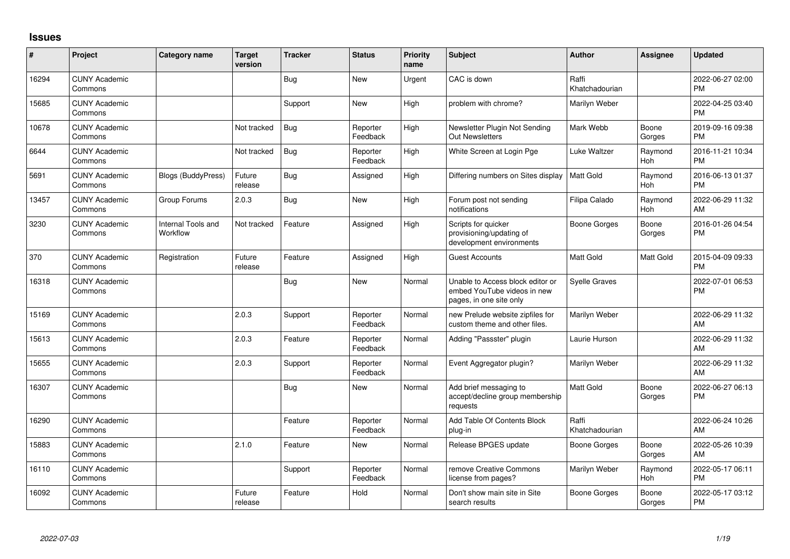## **Issues**

| #     | Project                         | Category name                         | <b>Target</b><br>version | <b>Tracker</b> | <b>Status</b>        | <b>Priority</b><br>name | Subject                                                                                    | <b>Author</b>           | <b>Assignee</b> | <b>Updated</b>                |
|-------|---------------------------------|---------------------------------------|--------------------------|----------------|----------------------|-------------------------|--------------------------------------------------------------------------------------------|-------------------------|-----------------|-------------------------------|
| 16294 | <b>CUNY Academic</b><br>Commons |                                       |                          | Bug            | <b>New</b>           | Urgent                  | CAC is down                                                                                | Raffi<br>Khatchadourian |                 | 2022-06-27 02:00<br><b>PM</b> |
| 15685 | <b>CUNY Academic</b><br>Commons |                                       |                          | Support        | <b>New</b>           | High                    | problem with chrome?                                                                       | Marilyn Weber           |                 | 2022-04-25 03:40<br><b>PM</b> |
| 10678 | <b>CUNY Academic</b><br>Commons |                                       | Not tracked              | <b>Bug</b>     | Reporter<br>Feedback | High                    | Newsletter Plugin Not Sending<br><b>Out Newsletters</b>                                    | Mark Webb               | Boone<br>Gorges | 2019-09-16 09:38<br><b>PM</b> |
| 6644  | <b>CUNY Academic</b><br>Commons |                                       | Not tracked              | <b>Bug</b>     | Reporter<br>Feedback | High                    | White Screen at Login Pge                                                                  | Luke Waltzer            | Raymond<br>Hoh  | 2016-11-21 10:34<br><b>PM</b> |
| 5691  | <b>CUNY Academic</b><br>Commons | <b>Blogs (BuddyPress)</b>             | Future<br>release        | <b>Bug</b>     | Assigned             | High                    | Differing numbers on Sites display                                                         | l Matt Gold             | Raymond<br>Hoh  | 2016-06-13 01:37<br><b>PM</b> |
| 13457 | <b>CUNY Academic</b><br>Commons | Group Forums                          | 2.0.3                    | Bug            | <b>New</b>           | High                    | Forum post not sending<br>notifications                                                    | Filipa Calado           | Raymond<br>Hoh  | 2022-06-29 11:32<br>AM        |
| 3230  | <b>CUNY Academic</b><br>Commons | <b>Internal Tools and</b><br>Workflow | Not tracked              | Feature        | Assigned             | High                    | Scripts for quicker<br>provisioning/updating of<br>development environments                | Boone Gorges            | Boone<br>Gorges | 2016-01-26 04:54<br><b>PM</b> |
| 370   | <b>CUNY Academic</b><br>Commons | Registration                          | Future<br>release        | Feature        | Assigned             | High                    | <b>Guest Accounts</b>                                                                      | <b>Matt Gold</b>        | Matt Gold       | 2015-04-09 09:33<br><b>PM</b> |
| 16318 | <b>CUNY Academic</b><br>Commons |                                       |                          | <b>Bug</b>     | <b>New</b>           | Normal                  | Unable to Access block editor or<br>embed YouTube videos in new<br>pages, in one site only | <b>Syelle Graves</b>    |                 | 2022-07-01 06:53<br><b>PM</b> |
| 15169 | <b>CUNY Academic</b><br>Commons |                                       | 2.0.3                    | Support        | Reporter<br>Feedback | Normal                  | new Prelude website zipfiles for<br>custom theme and other files.                          | Marilyn Weber           |                 | 2022-06-29 11:32<br>AM        |
| 15613 | <b>CUNY Academic</b><br>Commons |                                       | 2.0.3                    | Feature        | Reporter<br>Feedback | Normal                  | Adding "Passster" plugin                                                                   | Laurie Hurson           |                 | 2022-06-29 11:32<br>AM        |
| 15655 | <b>CUNY Academic</b><br>Commons |                                       | 2.0.3                    | Support        | Reporter<br>Feedback | Normal                  | Event Aggregator plugin?                                                                   | Marilyn Weber           |                 | 2022-06-29 11:32<br>AM        |
| 16307 | <b>CUNY Academic</b><br>Commons |                                       |                          | Bug            | <b>New</b>           | Normal                  | Add brief messaging to<br>accept/decline group membership<br>requests                      | <b>Matt Gold</b>        | Boone<br>Gorges | 2022-06-27 06:13<br><b>PM</b> |
| 16290 | <b>CUNY Academic</b><br>Commons |                                       |                          | Feature        | Reporter<br>Feedback | Normal                  | Add Table Of Contents Block<br>plug-in                                                     | Raffi<br>Khatchadourian |                 | 2022-06-24 10:26<br>AM        |
| 15883 | <b>CUNY Academic</b><br>Commons |                                       | 2.1.0                    | Feature        | <b>New</b>           | Normal                  | Release BPGES update                                                                       | Boone Gorges            | Boone<br>Gorges | 2022-05-26 10:39<br>AM        |
| 16110 | <b>CUNY Academic</b><br>Commons |                                       |                          | Support        | Reporter<br>Feedback | Normal                  | remove Creative Commons<br>license from pages?                                             | Marilyn Weber           | Raymond<br>Hoh  | 2022-05-17 06:11<br><b>PM</b> |
| 16092 | <b>CUNY Academic</b><br>Commons |                                       | Future<br>release        | Feature        | Hold                 | Normal                  | Don't show main site in Site<br>search results                                             | Boone Gorges            | Boone<br>Gorges | 2022-05-17 03:12<br><b>PM</b> |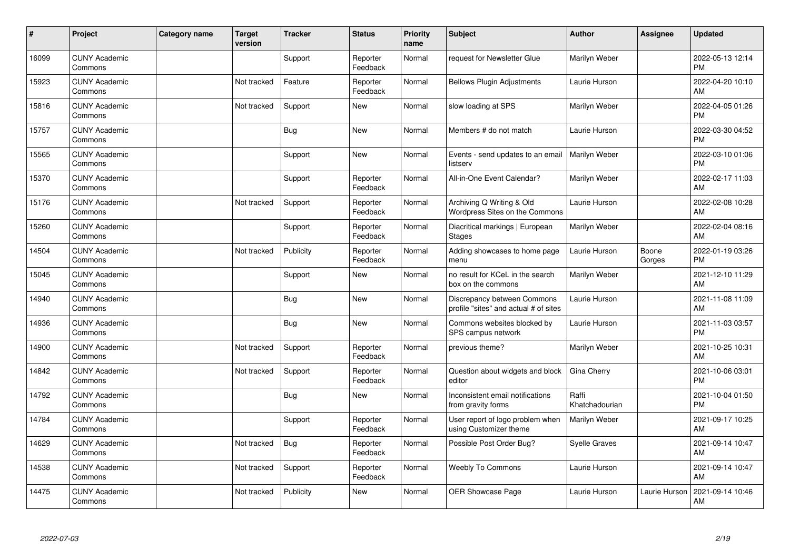| ∦     | Project                         | <b>Category name</b> | <b>Target</b><br>version | <b>Tracker</b> | <b>Status</b>        | <b>Priority</b><br>name | <b>Subject</b>                                                       | <b>Author</b>           | <b>Assignee</b> | <b>Updated</b>                |
|-------|---------------------------------|----------------------|--------------------------|----------------|----------------------|-------------------------|----------------------------------------------------------------------|-------------------------|-----------------|-------------------------------|
| 16099 | <b>CUNY Academic</b><br>Commons |                      |                          | Support        | Reporter<br>Feedback | Normal                  | request for Newsletter Glue                                          | Marilyn Weber           |                 | 2022-05-13 12:14<br><b>PM</b> |
| 15923 | <b>CUNY Academic</b><br>Commons |                      | Not tracked              | Feature        | Reporter<br>Feedback | Normal                  | <b>Bellows Plugin Adjustments</b>                                    | Laurie Hurson           |                 | 2022-04-20 10:10<br>AM        |
| 15816 | <b>CUNY Academic</b><br>Commons |                      | Not tracked              | Support        | <b>New</b>           | Normal                  | slow loading at SPS                                                  | Marilyn Weber           |                 | 2022-04-05 01:26<br><b>PM</b> |
| 15757 | <b>CUNY Academic</b><br>Commons |                      |                          | <b>Bug</b>     | <b>New</b>           | Normal                  | Members # do not match                                               | Laurie Hurson           |                 | 2022-03-30 04:52<br><b>PM</b> |
| 15565 | <b>CUNY Academic</b><br>Commons |                      |                          | Support        | New                  | Normal                  | Events - send updates to an email<br>listserv                        | Marilyn Weber           |                 | 2022-03-10 01:06<br><b>PM</b> |
| 15370 | <b>CUNY Academic</b><br>Commons |                      |                          | Support        | Reporter<br>Feedback | Normal                  | All-in-One Event Calendar?                                           | Marilyn Weber           |                 | 2022-02-17 11:03<br>AM        |
| 15176 | <b>CUNY Academic</b><br>Commons |                      | Not tracked              | Support        | Reporter<br>Feedback | Normal                  | Archiving Q Writing & Old<br>Wordpress Sites on the Commons          | Laurie Hurson           |                 | 2022-02-08 10:28<br>AM        |
| 15260 | <b>CUNY Academic</b><br>Commons |                      |                          | Support        | Reporter<br>Feedback | Normal                  | Diacritical markings   European<br><b>Stages</b>                     | Marilyn Weber           |                 | 2022-02-04 08:16<br>AM        |
| 14504 | <b>CUNY Academic</b><br>Commons |                      | Not tracked              | Publicity      | Reporter<br>Feedback | Normal                  | Adding showcases to home page<br>menu                                | Laurie Hurson           | Boone<br>Gorges | 2022-01-19 03:26<br><b>PM</b> |
| 15045 | <b>CUNY Academic</b><br>Commons |                      |                          | Support        | <b>New</b>           | Normal                  | no result for KCeL in the search<br>box on the commons               | Marilyn Weber           |                 | 2021-12-10 11:29<br>AM        |
| 14940 | <b>CUNY Academic</b><br>Commons |                      |                          | <b>Bug</b>     | New                  | Normal                  | Discrepancy between Commons<br>profile "sites" and actual # of sites | Laurie Hurson           |                 | 2021-11-08 11:09<br>AM        |
| 14936 | <b>CUNY Academic</b><br>Commons |                      |                          | Bug            | New                  | Normal                  | Commons websites blocked by<br>SPS campus network                    | Laurie Hurson           |                 | 2021-11-03 03:57<br><b>PM</b> |
| 14900 | <b>CUNY Academic</b><br>Commons |                      | Not tracked              | Support        | Reporter<br>Feedback | Normal                  | previous theme?                                                      | Marilyn Weber           |                 | 2021-10-25 10:31<br><b>AM</b> |
| 14842 | <b>CUNY Academic</b><br>Commons |                      | Not tracked              | Support        | Reporter<br>Feedback | Normal                  | Question about widgets and block<br>editor                           | Gina Cherry             |                 | 2021-10-06 03:01<br><b>PM</b> |
| 14792 | <b>CUNY Academic</b><br>Commons |                      |                          | <b>Bug</b>     | <b>New</b>           | Normal                  | Inconsistent email notifications<br>from gravity forms               | Raffi<br>Khatchadourian |                 | 2021-10-04 01:50<br><b>PM</b> |
| 14784 | <b>CUNY Academic</b><br>Commons |                      |                          | Support        | Reporter<br>Feedback | Normal                  | User report of logo problem when<br>using Customizer theme           | Marilyn Weber           |                 | 2021-09-17 10:25<br>AM        |
| 14629 | <b>CUNY Academic</b><br>Commons |                      | Not tracked              | Bug            | Reporter<br>Feedback | Normal                  | Possible Post Order Bug?                                             | <b>Syelle Graves</b>    |                 | 2021-09-14 10:47<br><b>AM</b> |
| 14538 | <b>CUNY Academic</b><br>Commons |                      | Not tracked              | Support        | Reporter<br>Feedback | Normal                  | <b>Weebly To Commons</b>                                             | Laurie Hurson           |                 | 2021-09-14 10:47<br>AM        |
| 14475 | <b>CUNY Academic</b><br>Commons |                      | Not tracked              | Publicity      | <b>New</b>           | Normal                  | <b>OER Showcase Page</b>                                             | Laurie Hurson           | Laurie Hurson   | 2021-09-14 10:46<br>AM        |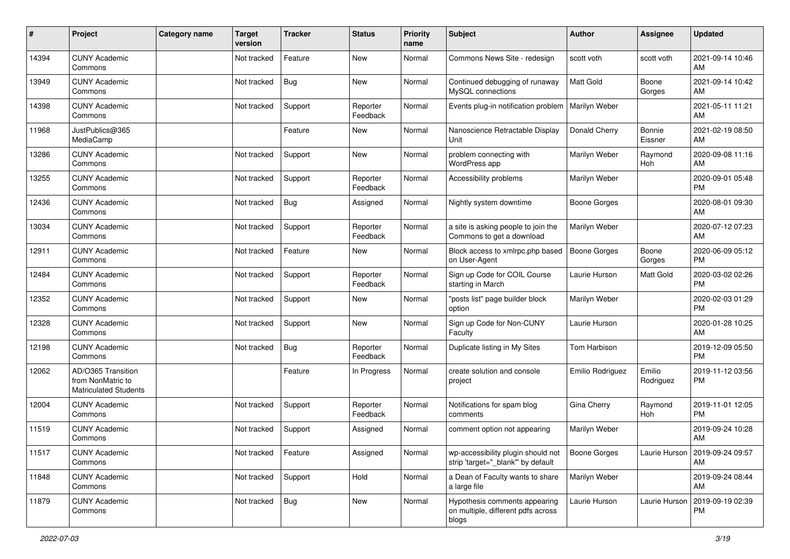| #     | Project                                                                 | Category name | <b>Target</b><br>version | <b>Tracker</b> | <b>Status</b>        | <b>Priority</b><br>name | Subject                                                                      | Author              | <b>Assignee</b>     | <b>Updated</b>                         |
|-------|-------------------------------------------------------------------------|---------------|--------------------------|----------------|----------------------|-------------------------|------------------------------------------------------------------------------|---------------------|---------------------|----------------------------------------|
| 14394 | <b>CUNY Academic</b><br>Commons                                         |               | Not tracked              | Feature        | <b>New</b>           | Normal                  | Commons News Site - redesign                                                 | scott voth          | scott voth          | 2021-09-14 10:46<br>AM                 |
| 13949 | <b>CUNY Academic</b><br>Commons                                         |               | Not tracked              | Bug            | New                  | Normal                  | Continued debugging of runaway<br>MySQL connections                          | <b>Matt Gold</b>    | Boone<br>Gorges     | 2021-09-14 10:42<br>AM                 |
| 14398 | <b>CUNY Academic</b><br>Commons                                         |               | Not tracked              | Support        | Reporter<br>Feedback | Normal                  | Events plug-in notification problem                                          | Marilyn Weber       |                     | 2021-05-11 11:21<br>AM                 |
| 11968 | JustPublics@365<br>MediaCamp                                            |               |                          | Feature        | <b>New</b>           | Normal                  | Nanoscience Retractable Display<br>Unit                                      | Donald Cherry       | Bonnie<br>Eissner   | 2021-02-19 08:50<br>AM                 |
| 13286 | <b>CUNY Academic</b><br>Commons                                         |               | Not tracked              | Support        | New                  | Normal                  | problem connecting with<br>WordPress app                                     | Marilyn Weber       | Raymond<br>Hoh      | 2020-09-08 11:16<br>AM                 |
| 13255 | <b>CUNY Academic</b><br>Commons                                         |               | Not tracked              | Support        | Reporter<br>Feedback | Normal                  | Accessibility problems                                                       | Marilyn Weber       |                     | 2020-09-01 05:48<br><b>PM</b>          |
| 12436 | <b>CUNY Academic</b><br>Commons                                         |               | Not tracked              | <b>Bug</b>     | Assigned             | Normal                  | Nightly system downtime                                                      | <b>Boone Gorges</b> |                     | 2020-08-01 09:30<br>AM                 |
| 13034 | <b>CUNY Academic</b><br>Commons                                         |               | Not tracked              | Support        | Reporter<br>Feedback | Normal                  | a site is asking people to join the<br>Commons to get a download             | Marilyn Weber       |                     | 2020-07-12 07:23<br>AM                 |
| 12911 | <b>CUNY Academic</b><br>Commons                                         |               | Not tracked              | Feature        | New                  | Normal                  | Block access to xmlrpc.php based<br>on User-Agent                            | <b>Boone Gorges</b> | Boone<br>Gorges     | 2020-06-09 05:12<br><b>PM</b>          |
| 12484 | <b>CUNY Academic</b><br>Commons                                         |               | Not tracked              | Support        | Reporter<br>Feedback | Normal                  | Sign up Code for COIL Course<br>starting in March                            | Laurie Hurson       | Matt Gold           | 2020-03-02 02:26<br><b>PM</b>          |
| 12352 | <b>CUNY Academic</b><br>Commons                                         |               | Not tracked              | Support        | New                  | Normal                  | "posts list" page builder block<br>option                                    | Marilyn Weber       |                     | 2020-02-03 01:29<br><b>PM</b>          |
| 12328 | <b>CUNY Academic</b><br>Commons                                         |               | Not tracked              | Support        | New                  | Normal                  | Sign up Code for Non-CUNY<br>Faculty                                         | Laurie Hurson       |                     | 2020-01-28 10:25<br>AM                 |
| 12198 | <b>CUNY Academic</b><br>Commons                                         |               | Not tracked              | Bug            | Reporter<br>Feedback | Normal                  | Duplicate listing in My Sites                                                | Tom Harbison        |                     | 2019-12-09 05:50<br><b>PM</b>          |
| 12062 | AD/O365 Transition<br>from NonMatric to<br><b>Matriculated Students</b> |               |                          | Feature        | In Progress          | Normal                  | create solution and console<br>project                                       | Emilio Rodriguez    | Emilio<br>Rodriguez | 2019-11-12 03:56<br><b>PM</b>          |
| 12004 | <b>CUNY Academic</b><br>Commons                                         |               | Not tracked              | Support        | Reporter<br>Feedback | Normal                  | Notifications for spam blog<br>comments                                      | Gina Cherry         | Raymond<br>Hoh      | 2019-11-01 12:05<br><b>PM</b>          |
| 11519 | <b>CUNY Academic</b><br>Commons                                         |               | Not tracked              | Support        | Assigned             | Normal                  | comment option not appearing                                                 | Marilyn Weber       |                     | 2019-09-24 10:28<br>AM                 |
| 11517 | <b>CUNY Academic</b><br>Commons                                         |               | Not tracked              | Feature        | Assigned             | Normal                  | wp-accessibility plugin should not<br>strip 'target="_blank"' by default     | <b>Boone Gorges</b> |                     | Laurie Hurson   2019-09-24 09:57<br>AM |
| 11848 | <b>CUNY Academic</b><br>Commons                                         |               | Not tracked              | Support        | Hold                 | Normal                  | a Dean of Faculty wants to share<br>a large file                             | Marilyn Weber       |                     | 2019-09-24 08:44<br>AM                 |
| 11879 | <b>CUNY Academic</b><br>Commons                                         |               | Not tracked              | Bug            | New                  | Normal                  | Hypothesis comments appearing<br>on multiple, different pdfs across<br>blogs | Laurie Hurson       | Laurie Hurson       | 2019-09-19 02:39<br><b>PM</b>          |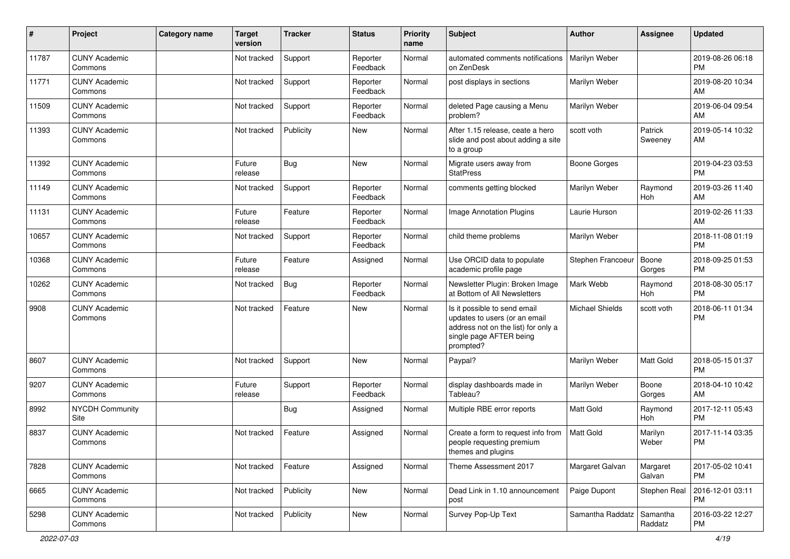| #     | Project                         | <b>Category name</b> | <b>Target</b><br>version | <b>Tracker</b> | <b>Status</b>        | <b>Priority</b><br>name | Subject                                                                                                                                      | Author                 | Assignee            | <b>Updated</b>                |
|-------|---------------------------------|----------------------|--------------------------|----------------|----------------------|-------------------------|----------------------------------------------------------------------------------------------------------------------------------------------|------------------------|---------------------|-------------------------------|
| 11787 | <b>CUNY Academic</b><br>Commons |                      | Not tracked              | Support        | Reporter<br>Feedback | Normal                  | automated comments notifications<br>on ZenDesk                                                                                               | Marilyn Weber          |                     | 2019-08-26 06:18<br><b>PM</b> |
| 11771 | <b>CUNY Academic</b><br>Commons |                      | Not tracked              | Support        | Reporter<br>Feedback | Normal                  | post displays in sections                                                                                                                    | Marilyn Weber          |                     | 2019-08-20 10:34<br>AM        |
| 11509 | <b>CUNY Academic</b><br>Commons |                      | Not tracked              | Support        | Reporter<br>Feedback | Normal                  | deleted Page causing a Menu<br>problem?                                                                                                      | Marilyn Weber          |                     | 2019-06-04 09:54<br>AM        |
| 11393 | <b>CUNY Academic</b><br>Commons |                      | Not tracked              | Publicity      | <b>New</b>           | Normal                  | After 1.15 release, ceate a hero<br>slide and post about adding a site<br>to a group                                                         | scott voth             | Patrick<br>Sweeney  | 2019-05-14 10:32<br>AM        |
| 11392 | <b>CUNY Academic</b><br>Commons |                      | Future<br>release        | <b>Bug</b>     | <b>New</b>           | Normal                  | Migrate users away from<br><b>StatPress</b>                                                                                                  | Boone Gorges           |                     | 2019-04-23 03:53<br><b>PM</b> |
| 11149 | <b>CUNY Academic</b><br>Commons |                      | Not tracked              | Support        | Reporter<br>Feedback | Normal                  | comments getting blocked                                                                                                                     | Marilyn Weber          | Raymond<br>Hoh      | 2019-03-26 11:40<br>AM        |
| 11131 | <b>CUNY Academic</b><br>Commons |                      | Future<br>release        | Feature        | Reporter<br>Feedback | Normal                  | Image Annotation Plugins                                                                                                                     | Laurie Hurson          |                     | 2019-02-26 11:33<br>AM        |
| 10657 | <b>CUNY Academic</b><br>Commons |                      | Not tracked              | Support        | Reporter<br>Feedback | Normal                  | child theme problems                                                                                                                         | Marilyn Weber          |                     | 2018-11-08 01:19<br><b>PM</b> |
| 10368 | <b>CUNY Academic</b><br>Commons |                      | Future<br>release        | Feature        | Assigned             | Normal                  | Use ORCID data to populate<br>academic profile page                                                                                          | Stephen Francoeur      | Boone<br>Gorges     | 2018-09-25 01:53<br><b>PM</b> |
| 10262 | <b>CUNY Academic</b><br>Commons |                      | Not tracked              | <b>Bug</b>     | Reporter<br>Feedback | Normal                  | Newsletter Plugin: Broken Image<br>at Bottom of All Newsletters                                                                              | Mark Webb              | Raymond<br>Hoh      | 2018-08-30 05:17<br><b>PM</b> |
| 9908  | <b>CUNY Academic</b><br>Commons |                      | Not tracked              | Feature        | <b>New</b>           | Normal                  | Is it possible to send email<br>updates to users (or an email<br>address not on the list) for only a<br>single page AFTER being<br>prompted? | <b>Michael Shields</b> | scott voth          | 2018-06-11 01:34<br><b>PM</b> |
| 8607  | <b>CUNY Academic</b><br>Commons |                      | Not tracked              | Support        | New                  | Normal                  | Paypal?                                                                                                                                      | Marilyn Weber          | Matt Gold           | 2018-05-15 01:37<br><b>PM</b> |
| 9207  | <b>CUNY Academic</b><br>Commons |                      | Future<br>release        | Support        | Reporter<br>Feedback | Normal                  | display dashboards made in<br>Tableau?                                                                                                       | Marilyn Weber          | Boone<br>Gorges     | 2018-04-10 10:42<br>AM        |
| 8992  | NYCDH Community<br>Site         |                      |                          | <b>Bug</b>     | Assigned             | Normal                  | Multiple RBE error reports                                                                                                                   | Matt Gold              | Raymond<br>Hoh      | 2017-12-11 05:43<br><b>PM</b> |
| 8837  | <b>CUNY Academic</b><br>Commons |                      | Not tracked              | Feature        | Assigned             | Normal                  | Create a form to request info from<br>people requesting premium<br>themes and plugins                                                        | <b>Matt Gold</b>       | Marilyn<br>Weber    | 2017-11-14 03:35<br><b>PM</b> |
| 7828  | <b>CUNY Academic</b><br>Commons |                      | Not tracked              | Feature        | Assigned             | Normal                  | Theme Assessment 2017                                                                                                                        | Margaret Galvan        | Margaret<br>Galvan  | 2017-05-02 10:41<br><b>PM</b> |
| 6665  | <b>CUNY Academic</b><br>Commons |                      | Not tracked              | Publicity      | New                  | Normal                  | Dead Link in 1.10 announcement<br>post                                                                                                       | Paige Dupont           | Stephen Real        | 2016-12-01 03:11<br><b>PM</b> |
| 5298  | <b>CUNY Academic</b><br>Commons |                      | Not tracked              | Publicity      | New                  | Normal                  | Survey Pop-Up Text                                                                                                                           | Samantha Raddatz       | Samantha<br>Raddatz | 2016-03-22 12:27<br>PM        |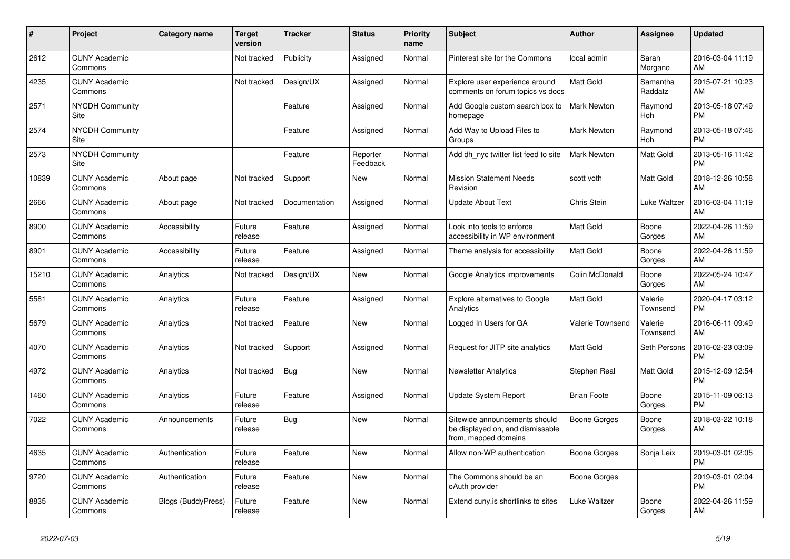| $\pmb{\sharp}$ | <b>Project</b>                  | Category name      | <b>Target</b><br>version | <b>Tracker</b> | <b>Status</b>        | <b>Priority</b><br>name | <b>Subject</b>                                                                            | Author             | Assignee            | <b>Updated</b>                |
|----------------|---------------------------------|--------------------|--------------------------|----------------|----------------------|-------------------------|-------------------------------------------------------------------------------------------|--------------------|---------------------|-------------------------------|
| 2612           | <b>CUNY Academic</b><br>Commons |                    | Not tracked              | Publicity      | Assigned             | Normal                  | Pinterest site for the Commons                                                            | local admin        | Sarah<br>Morgano    | 2016-03-04 11:19<br>AM        |
| 4235           | <b>CUNY Academic</b><br>Commons |                    | Not tracked              | Design/UX      | Assigned             | Normal                  | Explore user experience around<br>comments on forum topics vs docs                        | Matt Gold          | Samantha<br>Raddatz | 2015-07-21 10:23<br>AM        |
| 2571           | <b>NYCDH Community</b><br>Site  |                    |                          | Feature        | Assigned             | Normal                  | Add Google custom search box to<br>homepage                                               | Mark Newton        | Raymond<br>Hoh      | 2013-05-18 07:49<br><b>PM</b> |
| 2574           | <b>NYCDH Community</b><br>Site  |                    |                          | Feature        | Assigned             | Normal                  | Add Way to Upload Files to<br>Groups                                                      | Mark Newton        | Raymond<br>Hoh      | 2013-05-18 07:46<br><b>PM</b> |
| 2573           | <b>NYCDH Community</b><br>Site  |                    |                          | Feature        | Reporter<br>Feedback | Normal                  | Add dh_nyc twitter list feed to site                                                      | Mark Newton        | <b>Matt Gold</b>    | 2013-05-16 11:42<br><b>PM</b> |
| 10839          | <b>CUNY Academic</b><br>Commons | About page         | Not tracked              | Support        | New                  | Normal                  | <b>Mission Statement Needs</b><br>Revision                                                | scott voth         | Matt Gold           | 2018-12-26 10:58<br>AM        |
| 2666           | <b>CUNY Academic</b><br>Commons | About page         | Not tracked              | Documentation  | Assigned             | Normal                  | <b>Update About Text</b>                                                                  | Chris Stein        | Luke Waltzer        | 2016-03-04 11:19<br>AM        |
| 8900           | <b>CUNY Academic</b><br>Commons | Accessibility      | Future<br>release        | Feature        | Assigned             | Normal                  | Look into tools to enforce<br>accessibility in WP environment                             | <b>Matt Gold</b>   | Boone<br>Gorges     | 2022-04-26 11:59<br>AM        |
| 8901           | <b>CUNY Academic</b><br>Commons | Accessibility      | Future<br>release        | Feature        | Assigned             | Normal                  | Theme analysis for accessibility                                                          | Matt Gold          | Boone<br>Gorges     | 2022-04-26 11:59<br>AM        |
| 15210          | <b>CUNY Academic</b><br>Commons | Analytics          | Not tracked              | Design/UX      | <b>New</b>           | Normal                  | Google Analytics improvements                                                             | Colin McDonald     | Boone<br>Gorges     | 2022-05-24 10:47<br>AM        |
| 5581           | <b>CUNY Academic</b><br>Commons | Analytics          | Future<br>release        | Feature        | Assigned             | Normal                  | <b>Explore alternatives to Google</b><br>Analytics                                        | Matt Gold          | Valerie<br>Townsend | 2020-04-17 03:12<br><b>PM</b> |
| 5679           | <b>CUNY Academic</b><br>Commons | Analytics          | Not tracked              | Feature        | New                  | Normal                  | Logged In Users for GA                                                                    | Valerie Townsend   | Valerie<br>Townsend | 2016-06-11 09:49<br><b>AM</b> |
| 4070           | <b>CUNY Academic</b><br>Commons | Analytics          | Not tracked              | Support        | Assigned             | Normal                  | Request for JITP site analytics                                                           | <b>Matt Gold</b>   | Seth Persons        | 2016-02-23 03:09<br><b>PM</b> |
| 4972           | <b>CUNY Academic</b><br>Commons | Analytics          | Not tracked              | Bug            | <b>New</b>           | Normal                  | <b>Newsletter Analytics</b>                                                               | Stephen Real       | Matt Gold           | 2015-12-09 12:54<br><b>PM</b> |
| 1460           | <b>CUNY Academic</b><br>Commons | Analytics          | Future<br>release        | Feature        | Assigned             | Normal                  | <b>Update System Report</b>                                                               | <b>Brian Foote</b> | Boone<br>Gorges     | 2015-11-09 06:13<br>PM        |
| 7022           | <b>CUNY Academic</b><br>Commons | Announcements      | Future<br>release        | Bug            | <b>New</b>           | Normal                  | Sitewide announcements should<br>be displayed on, and dismissable<br>from, mapped domains | Boone Gorges       | Boone<br>Gorges     | 2018-03-22 10:18<br>AM        |
| 4635           | <b>CUNY Academic</b><br>Commons | Authentication     | Future<br>release        | Feature        | <b>New</b>           | Normal                  | Allow non-WP authentication                                                               | Boone Gorges       | Sonja Leix          | 2019-03-01 02:05<br><b>PM</b> |
| 9720           | <b>CUNY Academic</b><br>Commons | Authentication     | Future<br>release        | Feature        | New                  | Normal                  | The Commons should be an<br>oAuth provider                                                | Boone Gorges       |                     | 2019-03-01 02:04<br><b>PM</b> |
| 8835           | <b>CUNY Academic</b><br>Commons | Blogs (BuddyPress) | Future<br>release        | Feature        | <b>New</b>           | Normal                  | Extend cuny is shortlinks to sites                                                        | Luke Waltzer       | Boone<br>Gorges     | 2022-04-26 11:59<br>AM        |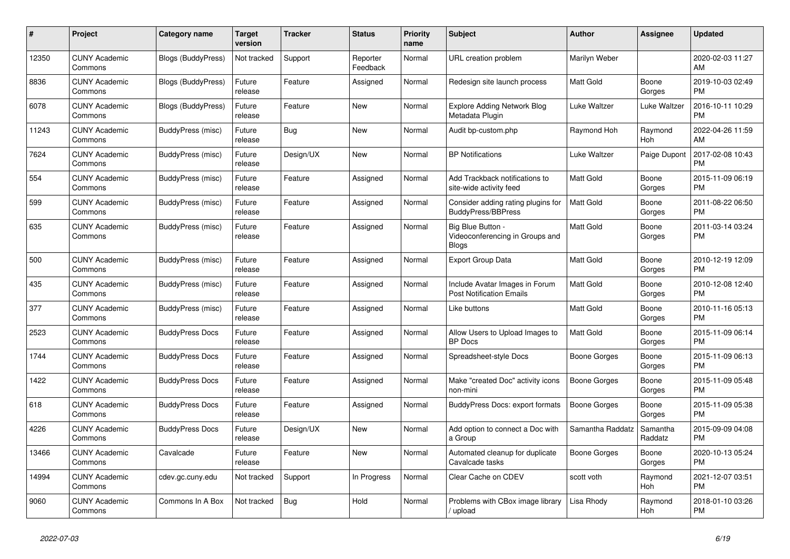| #     | Project                         | <b>Category name</b>      | <b>Target</b><br>version | <b>Tracker</b> | <b>Status</b>        | Priority<br>name | <b>Subject</b>                                                       | <b>Author</b>    | <b>Assignee</b>     | <b>Updated</b>                |
|-------|---------------------------------|---------------------------|--------------------------|----------------|----------------------|------------------|----------------------------------------------------------------------|------------------|---------------------|-------------------------------|
| 12350 | <b>CUNY Academic</b><br>Commons | <b>Blogs (BuddyPress)</b> | Not tracked              | Support        | Reporter<br>Feedback | Normal           | URL creation problem                                                 | Marilyn Weber    |                     | 2020-02-03 11:27<br>AM        |
| 8836  | <b>CUNY Academic</b><br>Commons | <b>Blogs (BuddyPress)</b> | Future<br>release        | Feature        | Assigned             | Normal           | Redesign site launch process                                         | Matt Gold        | Boone<br>Gorges     | 2019-10-03 02:49<br><b>PM</b> |
| 6078  | <b>CUNY Academic</b><br>Commons | <b>Blogs (BuddyPress)</b> | Future<br>release        | Feature        | New                  | Normal           | Explore Adding Network Blog<br>Metadata Plugin                       | Luke Waltzer     | Luke Waltzer        | 2016-10-11 10:29<br><b>PM</b> |
| 11243 | <b>CUNY Academic</b><br>Commons | BuddyPress (misc)         | Future<br>release        | <b>Bug</b>     | <b>New</b>           | Normal           | Audit bp-custom.php                                                  | Raymond Hoh      | Raymond<br>Hoh      | 2022-04-26 11:59<br>AM        |
| 7624  | <b>CUNY Academic</b><br>Commons | BuddyPress (misc)         | Future<br>release        | Design/UX      | New                  | Normal           | <b>BP Notifications</b>                                              | Luke Waltzer     | Paige Dupont        | 2017-02-08 10:43<br><b>PM</b> |
| 554   | <b>CUNY Academic</b><br>Commons | BuddyPress (misc)         | Future<br>release        | Feature        | Assigned             | Normal           | Add Trackback notifications to<br>site-wide activity feed            | <b>Matt Gold</b> | Boone<br>Gorges     | 2015-11-09 06:19<br><b>PM</b> |
| 599   | <b>CUNY Academic</b><br>Commons | BuddyPress (misc)         | Future<br>release        | Feature        | Assigned             | Normal           | Consider adding rating plugins for<br><b>BuddyPress/BBPress</b>      | <b>Matt Gold</b> | Boone<br>Gorges     | 2011-08-22 06:50<br><b>PM</b> |
| 635   | <b>CUNY Academic</b><br>Commons | BuddyPress (misc)         | Future<br>release        | Feature        | Assigned             | Normal           | Big Blue Button -<br>Videoconferencing in Groups and<br><b>Blogs</b> | Matt Gold        | Boone<br>Gorges     | 2011-03-14 03:24<br><b>PM</b> |
| 500   | <b>CUNY Academic</b><br>Commons | BuddyPress (misc)         | Future<br>release        | Feature        | Assigned             | Normal           | <b>Export Group Data</b>                                             | Matt Gold        | Boone<br>Gorges     | 2010-12-19 12:09<br><b>PM</b> |
| 435   | <b>CUNY Academic</b><br>Commons | BuddyPress (misc)         | Future<br>release        | Feature        | Assigned             | Normal           | Include Avatar Images in Forum<br><b>Post Notification Emails</b>    | Matt Gold        | Boone<br>Gorges     | 2010-12-08 12:40<br><b>PM</b> |
| 377   | <b>CUNY Academic</b><br>Commons | BuddyPress (misc)         | Future<br>release        | Feature        | Assigned             | Normal           | Like buttons                                                         | Matt Gold        | Boone<br>Gorges     | 2010-11-16 05:13<br><b>PM</b> |
| 2523  | <b>CUNY Academic</b><br>Commons | <b>BuddyPress Docs</b>    | Future<br>release        | Feature        | Assigned             | Normal           | Allow Users to Upload Images to<br><b>BP</b> Docs                    | <b>Matt Gold</b> | Boone<br>Gorges     | 2015-11-09 06:14<br><b>PM</b> |
| 1744  | <b>CUNY Academic</b><br>Commons | <b>BuddyPress Docs</b>    | Future<br>release        | Feature        | Assigned             | Normal           | Spreadsheet-style Docs                                               | Boone Gorges     | Boone<br>Gorges     | 2015-11-09 06:13<br><b>PM</b> |
| 1422  | <b>CUNY Academic</b><br>Commons | <b>BuddyPress Docs</b>    | Future<br>release        | Feature        | Assigned             | Normal           | Make "created Doc" activity icons<br>non-mini                        | Boone Gorges     | Boone<br>Gorges     | 2015-11-09 05:48<br><b>PM</b> |
| 618   | <b>CUNY Academic</b><br>Commons | <b>BuddyPress Docs</b>    | Future<br>release        | Feature        | Assigned             | Normal           | <b>BuddyPress Docs: export formats</b>                               | Boone Gorges     | Boone<br>Gorges     | 2015-11-09 05:38<br><b>PM</b> |
| 4226  | <b>CUNY Academic</b><br>Commons | <b>BuddyPress Docs</b>    | Future<br>release        | Design/UX      | <b>New</b>           | Normal           | Add option to connect a Doc with<br>a Group                          | Samantha Raddatz | Samantha<br>Raddatz | 2015-09-09 04:08<br><b>PM</b> |
| 13466 | <b>CUNY Academic</b><br>Commons | Cavalcade                 | Future<br>release        | Feature        | <b>New</b>           | Normal           | Automated cleanup for duplicate<br>Cavalcade tasks                   | Boone Gorges     | Boone<br>Gorges     | 2020-10-13 05:24<br><b>PM</b> |
| 14994 | <b>CUNY Academic</b><br>Commons | cdev.gc.cuny.edu          | Not tracked              | Support        | In Progress          | Normal           | Clear Cache on CDEV                                                  | scott voth       | Raymond<br>Hoh      | 2021-12-07 03:51<br><b>PM</b> |
| 9060  | <b>CUNY Academic</b><br>Commons | Commons In A Box          | Not tracked              | <b>Bug</b>     | Hold                 | Normal           | Problems with CBox image library<br>/ upload                         | Lisa Rhody       | Raymond<br>Hoh      | 2018-01-10 03:26<br><b>PM</b> |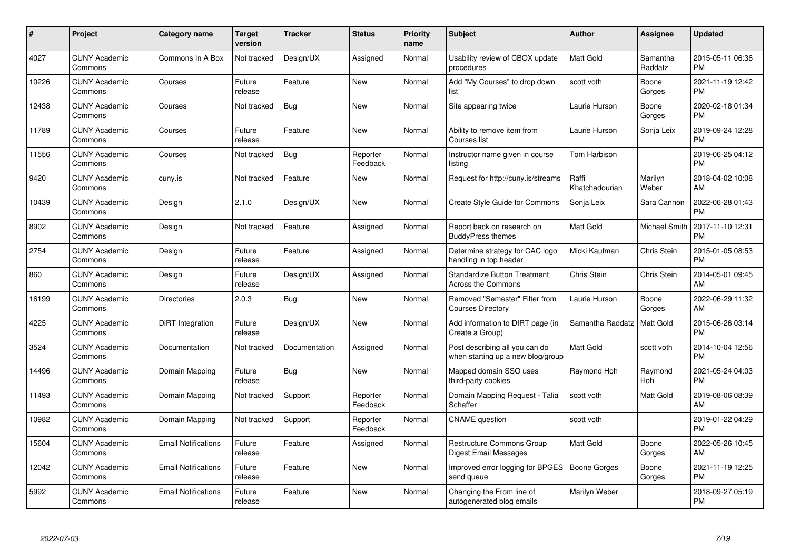| #     | <b>Project</b>                  | Category name              | <b>Target</b><br>version | <b>Tracker</b> | <b>Status</b>        | <b>Priority</b><br>name | <b>Subject</b>                                                      | <b>Author</b>           | Assignee            | <b>Updated</b>                |
|-------|---------------------------------|----------------------------|--------------------------|----------------|----------------------|-------------------------|---------------------------------------------------------------------|-------------------------|---------------------|-------------------------------|
| 4027  | <b>CUNY Academic</b><br>Commons | Commons In A Box           | Not tracked              | Design/UX      | Assigned             | Normal                  | Usability review of CBOX update<br>procedures                       | <b>Matt Gold</b>        | Samantha<br>Raddatz | 2015-05-11 06:36<br><b>PM</b> |
| 10226 | <b>CUNY Academic</b><br>Commons | Courses                    | Future<br>release        | Feature        | New                  | Normal                  | Add "My Courses" to drop down<br>list                               | scott voth              | Boone<br>Gorges     | 2021-11-19 12:42<br><b>PM</b> |
| 12438 | <b>CUNY Academic</b><br>Commons | Courses                    | Not tracked              | <b>Bug</b>     | <b>New</b>           | Normal                  | Site appearing twice                                                | Laurie Hurson           | Boone<br>Gorges     | 2020-02-18 01:34<br><b>PM</b> |
| 11789 | <b>CUNY Academic</b><br>Commons | Courses                    | Future<br>release        | Feature        | <b>New</b>           | Normal                  | Ability to remove item from<br>Courses list                         | Laurie Hurson           | Sonja Leix          | 2019-09-24 12:28<br><b>PM</b> |
| 11556 | <b>CUNY Academic</b><br>Commons | Courses                    | Not tracked              | <b>Bug</b>     | Reporter<br>Feedback | Normal                  | Instructor name given in course<br>listing                          | Tom Harbison            |                     | 2019-06-25 04:12<br><b>PM</b> |
| 9420  | <b>CUNY Academic</b><br>Commons | cuny.is                    | Not tracked              | Feature        | <b>New</b>           | Normal                  | Request for http://cuny.is/streams                                  | Raffi<br>Khatchadourian | Marilyn<br>Weber    | 2018-04-02 10:08<br>AM        |
| 10439 | <b>CUNY Academic</b><br>Commons | Design                     | 2.1.0                    | Design/UX      | <b>New</b>           | Normal                  | Create Style Guide for Commons                                      | Sonja Leix              | Sara Cannon         | 2022-06-28 01:43<br><b>PM</b> |
| 8902  | <b>CUNY Academic</b><br>Commons | Design                     | Not tracked              | Feature        | Assigned             | Normal                  | Report back on research on<br><b>BuddyPress themes</b>              | <b>Matt Gold</b>        | Michael Smith       | 2017-11-10 12:31<br><b>PM</b> |
| 2754  | <b>CUNY Academic</b><br>Commons | Design                     | Future<br>release        | Feature        | Assigned             | Normal                  | Determine strategy for CAC logo<br>handling in top header           | Micki Kaufman           | Chris Stein         | 2015-01-05 08:53<br><b>PM</b> |
| 860   | <b>CUNY Academic</b><br>Commons | Design                     | Future<br>release        | Design/UX      | Assigned             | Normal                  | <b>Standardize Button Treatment</b><br><b>Across the Commons</b>    | Chris Stein             | Chris Stein         | 2014-05-01 09:45<br>AM        |
| 16199 | <b>CUNY Academic</b><br>Commons | <b>Directories</b>         | 2.0.3                    | <b>Bug</b>     | <b>New</b>           | Normal                  | Removed "Semester" Filter from<br><b>Courses Directory</b>          | Laurie Hurson           | Boone<br>Gorges     | 2022-06-29 11:32<br>AM        |
| 4225  | <b>CUNY Academic</b><br>Commons | <b>DiRT</b> Integration    | Future<br>release        | Design/UX      | <b>New</b>           | Normal                  | Add information to DIRT page (in<br>Create a Group)                 | Samantha Raddatz        | Matt Gold           | 2015-06-26 03:14<br><b>PM</b> |
| 3524  | <b>CUNY Academic</b><br>Commons | Documentation              | Not tracked              | Documentation  | Assigned             | Normal                  | Post describing all you can do<br>when starting up a new blog/group | <b>Matt Gold</b>        | scott voth          | 2014-10-04 12:56<br><b>PM</b> |
| 14496 | <b>CUNY Academic</b><br>Commons | Domain Mapping             | Future<br>release        | Bug            | New                  | Normal                  | Mapped domain SSO uses<br>third-party cookies                       | Raymond Hoh             | Raymond<br>Hoh      | 2021-05-24 04:03<br><b>PM</b> |
| 11493 | <b>CUNY Academic</b><br>Commons | Domain Mapping             | Not tracked              | Support        | Reporter<br>Feedback | Normal                  | Domain Mapping Request - Talia<br>Schaffer                          | scott voth              | Matt Gold           | 2019-08-06 08:39<br>AM        |
| 10982 | <b>CUNY Academic</b><br>Commons | Domain Mapping             | Not tracked              | Support        | Reporter<br>Feedback | Normal                  | <b>CNAME</b> question                                               | scott voth              |                     | 2019-01-22 04:29<br><b>PM</b> |
| 15604 | <b>CUNY Academic</b><br>Commons | <b>Email Notifications</b> | Future<br>release        | Feature        | Assigned             | Normal                  | <b>Restructure Commons Group</b><br>Digest Email Messages           | <b>Matt Gold</b>        | Boone<br>Gorges     | 2022-05-26 10:45<br>AM        |
| 12042 | <b>CUNY Academic</b><br>Commons | <b>Email Notifications</b> | Future<br>release        | Feature        | New                  | Normal                  | Improved error logging for BPGES<br>send queue                      | <b>Boone Gorges</b>     | Boone<br>Gorges     | 2021-11-19 12:25<br><b>PM</b> |
| 5992  | <b>CUNY Academic</b><br>Commons | <b>Email Notifications</b> | Future<br>release        | Feature        | <b>New</b>           | Normal                  | Changing the From line of<br>autogenerated blog emails              | Marilyn Weber           |                     | 2018-09-27 05:19<br><b>PM</b> |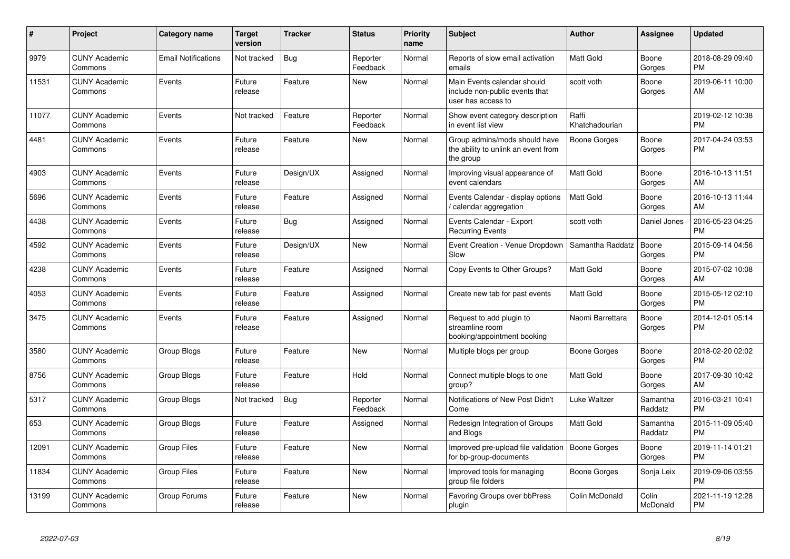| #     | Project                         | <b>Category name</b>       | <b>Target</b><br>version | <b>Tracker</b> | <b>Status</b>        | <b>Priority</b><br>name | <b>Subject</b>                                                                      | <b>Author</b>           | <b>Assignee</b>     | <b>Updated</b>                |
|-------|---------------------------------|----------------------------|--------------------------|----------------|----------------------|-------------------------|-------------------------------------------------------------------------------------|-------------------------|---------------------|-------------------------------|
| 9979  | <b>CUNY Academic</b><br>Commons | <b>Email Notifications</b> | Not tracked              | Bug            | Reporter<br>Feedback | Normal                  | Reports of slow email activation<br>emails                                          | <b>Matt Gold</b>        | Boone<br>Gorges     | 2018-08-29 09:40<br><b>PM</b> |
| 11531 | <b>CUNY Academic</b><br>Commons | Events                     | Future<br>release        | Feature        | <b>New</b>           | Normal                  | Main Events calendar should<br>include non-public events that<br>user has access to | scott voth              | Boone<br>Gorges     | 2019-06-11 10:00<br>AM        |
| 11077 | <b>CUNY Academic</b><br>Commons | Events                     | Not tracked              | Feature        | Reporter<br>Feedback | Normal                  | Show event category description<br>in event list view                               | Raffi<br>Khatchadourian |                     | 2019-02-12 10:38<br><b>PM</b> |
| 4481  | <b>CUNY Academic</b><br>Commons | Events                     | Future<br>release        | Feature        | New                  | Normal                  | Group admins/mods should have<br>the ability to unlink an event from<br>the group   | <b>Boone Gorges</b>     | Boone<br>Gorges     | 2017-04-24 03:53<br><b>PM</b> |
| 4903  | <b>CUNY Academic</b><br>Commons | Events                     | Future<br>release        | Design/UX      | Assigned             | Normal                  | Improving visual appearance of<br>event calendars                                   | Matt Gold               | Boone<br>Gorges     | 2016-10-13 11:51<br>AM        |
| 5696  | <b>CUNY Academic</b><br>Commons | Events                     | Future<br>release        | Feature        | Assigned             | Normal                  | Events Calendar - display options<br>/ calendar aggregation                         | <b>Matt Gold</b>        | Boone<br>Gorges     | 2016-10-13 11:44<br>AM        |
| 4438  | <b>CUNY Academic</b><br>Commons | Events                     | Future<br>release        | Bug            | Assigned             | Normal                  | Events Calendar - Export<br><b>Recurring Events</b>                                 | scott voth              | Daniel Jones        | 2016-05-23 04:25<br><b>PM</b> |
| 4592  | <b>CUNY Academic</b><br>Commons | Events                     | Future<br>release        | Design/UX      | New                  | Normal                  | Event Creation - Venue Dropdown<br>Slow                                             | Samantha Raddatz        | Boone<br>Gorges     | 2015-09-14 04:56<br><b>PM</b> |
| 4238  | <b>CUNY Academic</b><br>Commons | Events                     | Future<br>release        | Feature        | Assigned             | Normal                  | Copy Events to Other Groups?                                                        | <b>Matt Gold</b>        | Boone<br>Gorges     | 2015-07-02 10:08<br>AM        |
| 4053  | <b>CUNY Academic</b><br>Commons | Events                     | Future<br>release        | Feature        | Assigned             | Normal                  | Create new tab for past events                                                      | <b>Matt Gold</b>        | Boone<br>Gorges     | 2015-05-12 02:10<br><b>PM</b> |
| 3475  | <b>CUNY Academic</b><br>Commons | Events                     | Future<br>release        | Feature        | Assigned             | Normal                  | Request to add plugin to<br>streamline room<br>booking/appointment booking          | Naomi Barrettara        | Boone<br>Gorges     | 2014-12-01 05:14<br><b>PM</b> |
| 3580  | <b>CUNY Academic</b><br>Commons | <b>Group Blogs</b>         | Future<br>release        | Feature        | New                  | Normal                  | Multiple blogs per group                                                            | Boone Gorges            | Boone<br>Gorges     | 2018-02-20 02:02<br><b>PM</b> |
| 8756  | <b>CUNY Academic</b><br>Commons | Group Blogs                | Future<br>release        | Feature        | Hold                 | Normal                  | Connect multiple blogs to one<br>group?                                             | <b>Matt Gold</b>        | Boone<br>Gorges     | 2017-09-30 10:42<br>AM        |
| 5317  | <b>CUNY Academic</b><br>Commons | Group Blogs                | Not tracked              | Bug            | Reporter<br>Feedback | Normal                  | Notifications of New Post Didn't<br>Come                                            | Luke Waltzer            | Samantha<br>Raddatz | 2016-03-21 10:41<br><b>PM</b> |
| 653   | <b>CUNY Academic</b><br>Commons | Group Blogs                | Future<br>release        | Feature        | Assigned             | Normal                  | Redesign Integration of Groups<br>and Blogs                                         | <b>Matt Gold</b>        | Samantha<br>Raddatz | 2015-11-09 05:40<br><b>PM</b> |
| 12091 | <b>CUNY Academic</b><br>Commons | <b>Group Files</b>         | Future<br>release        | Feature        | <b>New</b>           | Normal                  | Improved pre-upload file validation<br>for bp-group-documents                       | Boone Gorges            | Boone<br>Gorges     | 2019-11-14 01:21<br><b>PM</b> |
| 11834 | <b>CUNY Academic</b><br>Commons | <b>Group Files</b>         | Future<br>release        | Feature        | New                  | Normal                  | Improved tools for managing<br>group file folders                                   | Boone Gorges            | Sonja Leix          | 2019-09-06 03:55<br><b>PM</b> |
| 13199 | <b>CUNY Academic</b><br>Commons | Group Forums               | Future<br>release        | Feature        | New                  | Normal                  | Favoring Groups over bbPress<br>plugin                                              | Colin McDonald          | Colin<br>McDonald   | 2021-11-19 12:28<br><b>PM</b> |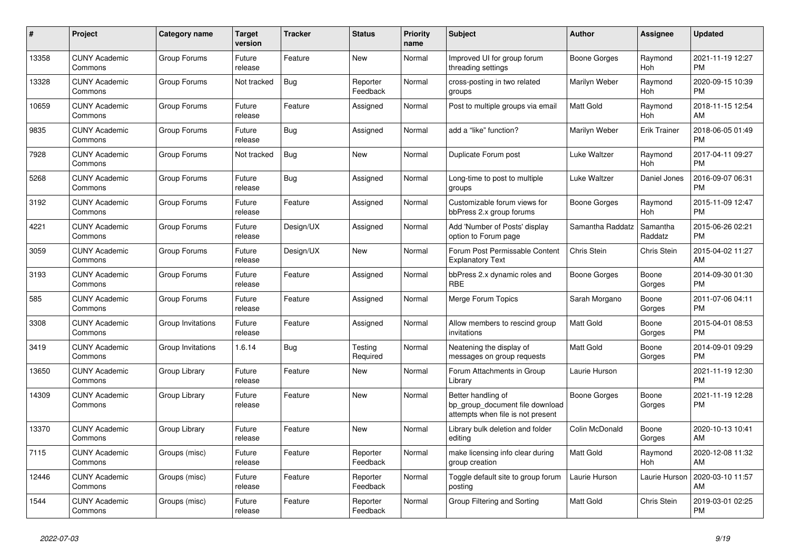| #     | Project                         | <b>Category name</b> | <b>Target</b><br>version | <b>Tracker</b> | <b>Status</b>        | <b>Priority</b><br>name | <b>Subject</b>                                                                             | <b>Author</b>       | Assignee            | <b>Updated</b>                |
|-------|---------------------------------|----------------------|--------------------------|----------------|----------------------|-------------------------|--------------------------------------------------------------------------------------------|---------------------|---------------------|-------------------------------|
| 13358 | <b>CUNY Academic</b><br>Commons | Group Forums         | Future<br>release        | Feature        | New                  | Normal                  | Improved UI for group forum<br>threading settings                                          | Boone Gorges        | Raymond<br>Hoh      | 2021-11-19 12:27<br><b>PM</b> |
| 13328 | <b>CUNY Academic</b><br>Commons | Group Forums         | Not tracked              | <b>Bug</b>     | Reporter<br>Feedback | Normal                  | cross-posting in two related<br>groups                                                     | Marilyn Weber       | Raymond<br>Hoh      | 2020-09-15 10:39<br><b>PM</b> |
| 10659 | <b>CUNY Academic</b><br>Commons | Group Forums         | Future<br>release        | Feature        | Assigned             | Normal                  | Post to multiple groups via email                                                          | <b>Matt Gold</b>    | Raymond<br>Hoh      | 2018-11-15 12:54<br>AM        |
| 9835  | <b>CUNY Academic</b><br>Commons | Group Forums         | Future<br>release        | <b>Bug</b>     | Assigned             | Normal                  | add a "like" function?                                                                     | Marilyn Weber       | <b>Erik Trainer</b> | 2018-06-05 01:49<br><b>PM</b> |
| 7928  | <b>CUNY Academic</b><br>Commons | Group Forums         | Not tracked              | Bug            | New                  | Normal                  | Duplicate Forum post                                                                       | Luke Waltzer        | Raymond<br>Hoh      | 2017-04-11 09:27<br><b>PM</b> |
| 5268  | <b>CUNY Academic</b><br>Commons | Group Forums         | Future<br>release        | Bug            | Assigned             | Normal                  | Long-time to post to multiple<br>groups                                                    | Luke Waltzer        | Daniel Jones        | 2016-09-07 06:31<br><b>PM</b> |
| 3192  | <b>CUNY Academic</b><br>Commons | Group Forums         | Future<br>release        | Feature        | Assigned             | Normal                  | Customizable forum views for<br>bbPress 2.x group forums                                   | Boone Gorges        | Raymond<br>Hoh      | 2015-11-09 12:47<br><b>PM</b> |
| 4221  | <b>CUNY Academic</b><br>Commons | Group Forums         | Future<br>release        | Design/UX      | Assigned             | Normal                  | Add 'Number of Posts' display<br>option to Forum page                                      | Samantha Raddatz    | Samantha<br>Raddatz | 2015-06-26 02:21<br><b>PM</b> |
| 3059  | <b>CUNY Academic</b><br>Commons | Group Forums         | Future<br>release        | Design/UX      | New                  | Normal                  | Forum Post Permissable Content<br><b>Explanatory Text</b>                                  | Chris Stein         | Chris Stein         | 2015-04-02 11:27<br>AM        |
| 3193  | <b>CUNY Academic</b><br>Commons | Group Forums         | Future<br>release        | Feature        | Assigned             | Normal                  | bbPress 2.x dynamic roles and<br><b>RBE</b>                                                | Boone Gorges        | Boone<br>Gorges     | 2014-09-30 01:30<br><b>PM</b> |
| 585   | <b>CUNY Academic</b><br>Commons | Group Forums         | Future<br>release        | Feature        | Assigned             | Normal                  | Merge Forum Topics                                                                         | Sarah Morgano       | Boone<br>Gorges     | 2011-07-06 04:11<br><b>PM</b> |
| 3308  | <b>CUNY Academic</b><br>Commons | Group Invitations    | Future<br>release        | Feature        | Assigned             | Normal                  | Allow members to rescind group<br>invitations                                              | <b>Matt Gold</b>    | Boone<br>Gorges     | 2015-04-01 08:53<br><b>PM</b> |
| 3419  | <b>CUNY Academic</b><br>Commons | Group Invitations    | 1.6.14                   | Bug            | Testing<br>Required  | Normal                  | Neatening the display of<br>messages on group requests                                     | Matt Gold           | Boone<br>Gorges     | 2014-09-01 09:29<br><b>PM</b> |
| 13650 | <b>CUNY Academic</b><br>Commons | Group Library        | Future<br>release        | Feature        | New                  | Normal                  | Forum Attachments in Group<br>Library                                                      | Laurie Hurson       |                     | 2021-11-19 12:30<br><b>PM</b> |
| 14309 | <b>CUNY Academic</b><br>Commons | Group Library        | Future<br>release        | Feature        | <b>New</b>           | Normal                  | Better handling of<br>bp_group_document file download<br>attempts when file is not present | <b>Boone Gorges</b> | Boone<br>Gorges     | 2021-11-19 12:28<br><b>PM</b> |
| 13370 | <b>CUNY Academic</b><br>Commons | Group Library        | Future<br>release        | Feature        | New                  | Normal                  | Library bulk deletion and folder<br>editing                                                | Colin McDonald      | Boone<br>Gorges     | 2020-10-13 10:41<br>AM        |
| 7115  | <b>CUNY Academic</b><br>Commons | Groups (misc)        | Future<br>release        | Feature        | Reporter<br>Feedback | Normal                  | make licensing info clear during<br>group creation                                         | <b>Matt Gold</b>    | Raymond<br>Hoh      | 2020-12-08 11:32<br>AM        |
| 12446 | <b>CUNY Academic</b><br>Commons | Groups (misc)        | Future<br>release        | Feature        | Reporter<br>Feedback | Normal                  | Toggle default site to group forum<br>posting                                              | Laurie Hurson       | Laurie Hurson       | 2020-03-10 11:57<br>AM        |
| 1544  | <b>CUNY Academic</b><br>Commons | Groups (misc)        | Future<br>release        | Feature        | Reporter<br>Feedback | Normal                  | Group Filtering and Sorting                                                                | <b>Matt Gold</b>    | Chris Stein         | 2019-03-01 02:25<br><b>PM</b> |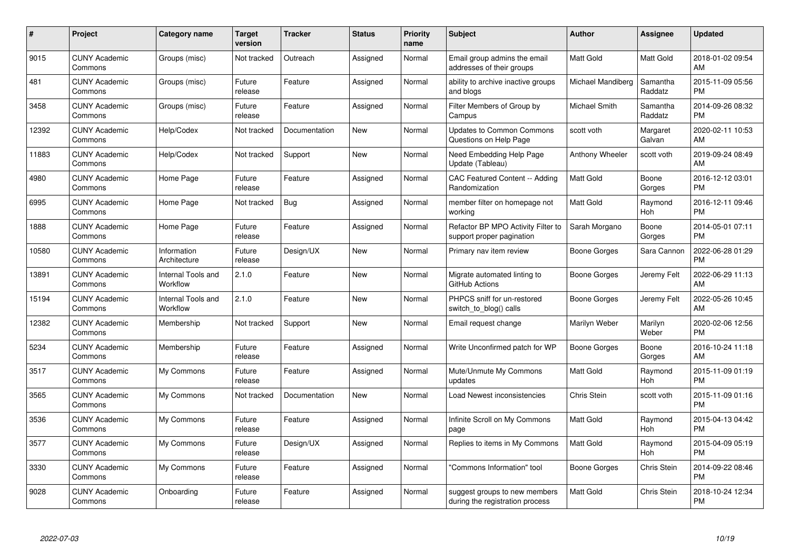| #     | Project                         | <b>Category name</b>                  | Target<br>version | <b>Tracker</b> | <b>Status</b> | <b>Priority</b><br>name | <b>Subject</b>                                                   | <b>Author</b>     | Assignee            | <b>Updated</b>                |
|-------|---------------------------------|---------------------------------------|-------------------|----------------|---------------|-------------------------|------------------------------------------------------------------|-------------------|---------------------|-------------------------------|
| 9015  | <b>CUNY Academic</b><br>Commons | Groups (misc)                         | Not tracked       | Outreach       | Assigned      | Normal                  | Email group admins the email<br>addresses of their groups        | <b>Matt Gold</b>  | Matt Gold           | 2018-01-02 09:54<br>AM        |
| 481   | <b>CUNY Academic</b><br>Commons | Groups (misc)                         | Future<br>release | Feature        | Assigned      | Normal                  | ability to archive inactive groups<br>and blogs                  | Michael Mandiberg | Samantha<br>Raddatz | 2015-11-09 05:56<br><b>PM</b> |
| 3458  | <b>CUNY Academic</b><br>Commons | Groups (misc)                         | Future<br>release | Feature        | Assigned      | Normal                  | Filter Members of Group by<br>Campus                             | Michael Smith     | Samantha<br>Raddatz | 2014-09-26 08:32<br><b>PM</b> |
| 12392 | <b>CUNY Academic</b><br>Commons | Help/Codex                            | Not tracked       | Documentation  | New           | Normal                  | <b>Updates to Common Commons</b><br>Questions on Help Page       | scott voth        | Margaret<br>Galvan  | 2020-02-11 10:53<br>AM        |
| 11883 | <b>CUNY Academic</b><br>Commons | Help/Codex                            | Not tracked       | Support        | <b>New</b>    | Normal                  | Need Embedding Help Page<br>Update (Tableau)                     | Anthony Wheeler   | scott voth          | 2019-09-24 08:49<br>AM        |
| 4980  | <b>CUNY Academic</b><br>Commons | Home Page                             | Future<br>release | Feature        | Assigned      | Normal                  | CAC Featured Content -- Adding<br>Randomization                  | <b>Matt Gold</b>  | Boone<br>Gorges     | 2016-12-12 03:01<br><b>PM</b> |
| 6995  | <b>CUNY Academic</b><br>Commons | Home Page                             | Not tracked       | <b>Bug</b>     | Assigned      | Normal                  | member filter on homepage not<br>workina                         | Matt Gold         | Raymond<br>Hoh      | 2016-12-11 09:46<br><b>PM</b> |
| 1888  | <b>CUNY Academic</b><br>Commons | Home Page                             | Future<br>release | Feature        | Assigned      | Normal                  | Refactor BP MPO Activity Filter to<br>support proper pagination  | Sarah Morgano     | Boone<br>Gorges     | 2014-05-01 07:11<br><b>PM</b> |
| 10580 | <b>CUNY Academic</b><br>Commons | Information<br>Architecture           | Future<br>release | Design/UX      | <b>New</b>    | Normal                  | Primary nav item review                                          | Boone Gorges      | Sara Cannon         | 2022-06-28 01:29<br><b>PM</b> |
| 13891 | <b>CUNY Academic</b><br>Commons | <b>Internal Tools and</b><br>Workflow | 2.1.0             | Feature        | <b>New</b>    | Normal                  | Migrate automated linting to<br>GitHub Actions                   | Boone Gorges      | Jeremy Felt         | 2022-06-29 11:13<br>AM        |
| 15194 | <b>CUNY Academic</b><br>Commons | Internal Tools and<br>Workflow        | 2.1.0             | Feature        | New           | Normal                  | PHPCS sniff for un-restored<br>switch to blog() calls            | Boone Gorges      | Jeremy Felt         | 2022-05-26 10:45<br>AM        |
| 12382 | <b>CUNY Academic</b><br>Commons | Membership                            | Not tracked       | Support        | <b>New</b>    | Normal                  | Email request change                                             | Marilyn Weber     | Marilyn<br>Weber    | 2020-02-06 12:56<br><b>PM</b> |
| 5234  | <b>CUNY Academic</b><br>Commons | Membership                            | Future<br>release | Feature        | Assigned      | Normal                  | Write Unconfirmed patch for WP                                   | Boone Gorges      | Boone<br>Gorges     | 2016-10-24 11:18<br>AM        |
| 3517  | <b>CUNY Academic</b><br>Commons | My Commons                            | Future<br>release | Feature        | Assigned      | Normal                  | Mute/Unmute My Commons<br>updates                                | <b>Matt Gold</b>  | Raymond<br>Hoh      | 2015-11-09 01:19<br><b>PM</b> |
| 3565  | <b>CUNY Academic</b><br>Commons | My Commons                            | Not tracked       | Documentation  | New           | Normal                  | Load Newest inconsistencies                                      | Chris Stein       | scott voth          | 2015-11-09 01:16<br><b>PM</b> |
| 3536  | <b>CUNY Academic</b><br>Commons | My Commons                            | Future<br>release | Feature        | Assigned      | Normal                  | Infinite Scroll on My Commons<br>page                            | Matt Gold         | Raymond<br>Hoh      | 2015-04-13 04:42<br><b>PM</b> |
| 3577  | <b>CUNY Academic</b><br>Commons | My Commons                            | Future<br>release | Design/UX      | Assigned      | Normal                  | Replies to items in My Commons                                   | <b>Matt Gold</b>  | Raymond<br>Hoh      | 2015-04-09 05:19<br><b>PM</b> |
| 3330  | <b>CUNY Academic</b><br>Commons | My Commons                            | Future<br>release | Feature        | Assigned      | Normal                  | "Commons Information" tool                                       | Boone Gorges      | Chris Stein         | 2014-09-22 08:46<br><b>PM</b> |
| 9028  | CUNY Academic<br>Commons        | Onboarding                            | Future<br>release | Feature        | Assigned      | Normal                  | suggest groups to new members<br>during the registration process | <b>Matt Gold</b>  | <b>Chris Stein</b>  | 2018-10-24 12:34<br><b>PM</b> |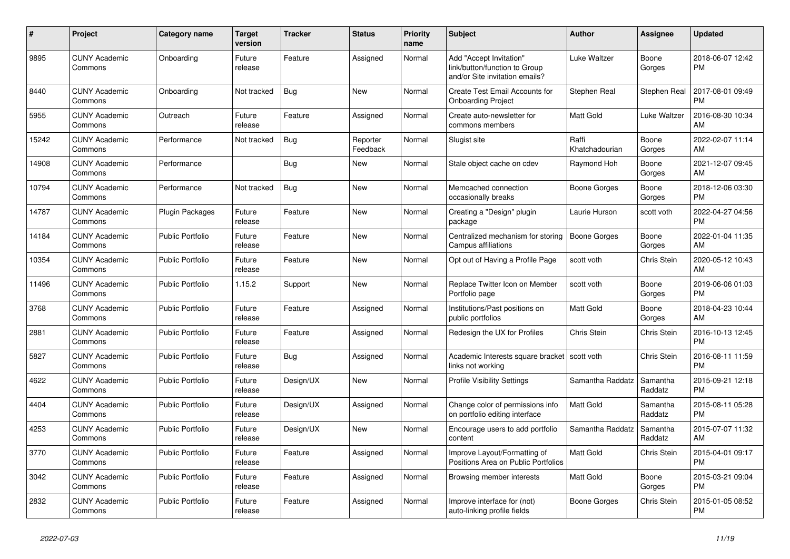| #     | Project                         | <b>Category name</b>    | <b>Target</b><br>version | <b>Tracker</b> | <b>Status</b>        | <b>Priority</b><br>name | <b>Subject</b>                                                                             | <b>Author</b>           | <b>Assignee</b>     | <b>Updated</b>                |
|-------|---------------------------------|-------------------------|--------------------------|----------------|----------------------|-------------------------|--------------------------------------------------------------------------------------------|-------------------------|---------------------|-------------------------------|
| 9895  | <b>CUNY Academic</b><br>Commons | Onboarding              | Future<br>release        | Feature        | Assigned             | Normal                  | Add "Accept Invitation"<br>link/button/function to Group<br>and/or Site invitation emails? | Luke Waltzer            | Boone<br>Gorges     | 2018-06-07 12:42<br><b>PM</b> |
| 8440  | <b>CUNY Academic</b><br>Commons | Onboarding              | Not tracked              | Bug            | New                  | Normal                  | Create Test Email Accounts for<br><b>Onboarding Project</b>                                | Stephen Real            | Stephen Real        | 2017-08-01 09:49<br><b>PM</b> |
| 5955  | <b>CUNY Academic</b><br>Commons | Outreach                | Future<br>release        | Feature        | Assigned             | Normal                  | Create auto-newsletter for<br>commons members                                              | <b>Matt Gold</b>        | Luke Waltzer        | 2016-08-30 10:34<br>AM        |
| 15242 | <b>CUNY Academic</b><br>Commons | Performance             | Not tracked              | Bug            | Reporter<br>Feedback | Normal                  | Slugist site                                                                               | Raffi<br>Khatchadourian | Boone<br>Gorges     | 2022-02-07 11:14<br>AM        |
| 14908 | <b>CUNY Academic</b><br>Commons | Performance             |                          | <b>Bug</b>     | New                  | Normal                  | Stale object cache on cdev                                                                 | Raymond Hoh             | Boone<br>Gorges     | 2021-12-07 09:45<br>AM        |
| 10794 | <b>CUNY Academic</b><br>Commons | Performance             | Not tracked              | Bug            | <b>New</b>           | Normal                  | Memcached connection<br>occasionally breaks                                                | Boone Gorges            | Boone<br>Gorges     | 2018-12-06 03:30<br><b>PM</b> |
| 14787 | <b>CUNY Academic</b><br>Commons | <b>Plugin Packages</b>  | Future<br>release        | Feature        | <b>New</b>           | Normal                  | Creating a "Design" plugin<br>package                                                      | Laurie Hurson           | scott voth          | 2022-04-27 04:56<br><b>PM</b> |
| 14184 | <b>CUNY Academic</b><br>Commons | Public Portfolio        | Future<br>release        | Feature        | New                  | Normal                  | Centralized mechanism for storing<br>Campus affiliations                                   | Boone Gorges            | Boone<br>Gorges     | 2022-01-04 11:35<br>AM        |
| 10354 | <b>CUNY Academic</b><br>Commons | <b>Public Portfolio</b> | Future<br>release        | Feature        | <b>New</b>           | Normal                  | Opt out of Having a Profile Page                                                           | scott voth              | <b>Chris Stein</b>  | 2020-05-12 10:43<br>AM        |
| 11496 | <b>CUNY Academic</b><br>Commons | <b>Public Portfolio</b> | 1.15.2                   | Support        | <b>New</b>           | Normal                  | Replace Twitter Icon on Member<br>Portfolio page                                           | scott voth              | Boone<br>Gorges     | 2019-06-06 01:03<br><b>PM</b> |
| 3768  | <b>CUNY Academic</b><br>Commons | <b>Public Portfolio</b> | Future<br>release        | Feature        | Assigned             | Normal                  | Institutions/Past positions on<br>public portfolios                                        | <b>Matt Gold</b>        | Boone<br>Gorges     | 2018-04-23 10:44<br>AM        |
| 2881  | <b>CUNY Academic</b><br>Commons | <b>Public Portfolio</b> | Future<br>release        | Feature        | Assigned             | Normal                  | Redesign the UX for Profiles                                                               | Chris Stein             | Chris Stein         | 2016-10-13 12:45<br><b>PM</b> |
| 5827  | <b>CUNY Academic</b><br>Commons | <b>Public Portfolio</b> | Future<br>release        | Bug            | Assigned             | Normal                  | Academic Interests square bracket<br>links not working                                     | scott voth              | <b>Chris Stein</b>  | 2016-08-11 11:59<br><b>PM</b> |
| 4622  | <b>CUNY Academic</b><br>Commons | <b>Public Portfolio</b> | Future<br>release        | Design/UX      | New                  | Normal                  | <b>Profile Visibility Settings</b>                                                         | Samantha Raddatz        | Samantha<br>Raddatz | 2015-09-21 12:18<br><b>PM</b> |
| 4404  | <b>CUNY Academic</b><br>Commons | <b>Public Portfolio</b> | Future<br>release        | Design/UX      | Assigned             | Normal                  | Change color of permissions info<br>on portfolio editing interface                         | <b>Matt Gold</b>        | Samantha<br>Raddatz | 2015-08-11 05:28<br><b>PM</b> |
| 4253  | <b>CUNY Academic</b><br>Commons | Public Portfolio        | Future<br>release        | Design/UX      | New                  | Normal                  | Encourage users to add portfolio<br>content                                                | Samantha Raddatz        | Samantha<br>Raddatz | 2015-07-07 11:32<br>AM        |
| 3770  | <b>CUNY Academic</b><br>Commons | <b>Public Portfolio</b> | Future<br>release        | Feature        | Assigned             | Normal                  | Improve Layout/Formatting of<br>Positions Area on Public Portfolios                        | <b>Matt Gold</b>        | <b>Chris Stein</b>  | 2015-04-01 09:17<br><b>PM</b> |
| 3042  | <b>CUNY Academic</b><br>Commons | <b>Public Portfolio</b> | Future<br>release        | Feature        | Assigned             | Normal                  | Browsing member interests                                                                  | <b>Matt Gold</b>        | Boone<br>Gorges     | 2015-03-21 09:04<br><b>PM</b> |
| 2832  | <b>CUNY Academic</b><br>Commons | Public Portfolio        | Future<br>release        | Feature        | Assigned             | Normal                  | Improve interface for (not)<br>auto-linking profile fields                                 | Boone Gorges            | Chris Stein         | 2015-01-05 08:52<br><b>PM</b> |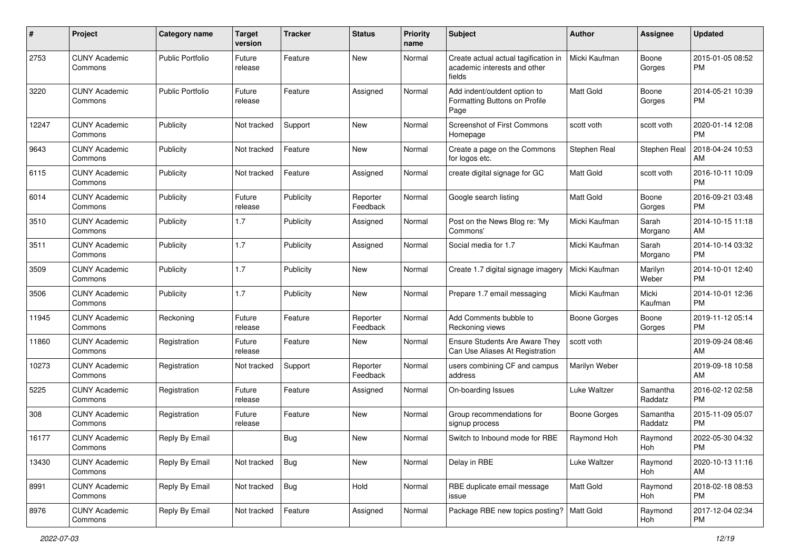| #     | Project                         | <b>Category name</b> | <b>Target</b><br>version | Tracker    | <b>Status</b>        | <b>Priority</b><br>name | <b>Subject</b>                                                                 | Author              | <b>Assignee</b>     | <b>Updated</b>                |
|-------|---------------------------------|----------------------|--------------------------|------------|----------------------|-------------------------|--------------------------------------------------------------------------------|---------------------|---------------------|-------------------------------|
| 2753  | <b>CUNY Academic</b><br>Commons | Public Portfolio     | Future<br>release        | Feature    | <b>New</b>           | Normal                  | Create actual actual tagification in<br>academic interests and other<br>fields | Micki Kaufman       | Boone<br>Gorges     | 2015-01-05 08:52<br>PM        |
| 3220  | <b>CUNY Academic</b><br>Commons | Public Portfolio     | Future<br>release        | Feature    | Assigned             | Normal                  | Add indent/outdent option to<br>Formatting Buttons on Profile<br>Page          | <b>Matt Gold</b>    | Boone<br>Gorges     | 2014-05-21 10:39<br><b>PM</b> |
| 12247 | <b>CUNY Academic</b><br>Commons | Publicity            | Not tracked              | Support    | <b>New</b>           | Normal                  | <b>Screenshot of First Commons</b><br>Homepage                                 | scott voth          | scott voth          | 2020-01-14 12:08<br>PM        |
| 9643  | <b>CUNY Academic</b><br>Commons | Publicity            | Not tracked              | Feature    | New                  | Normal                  | Create a page on the Commons<br>for logos etc.                                 | Stephen Real        | Stephen Real        | 2018-04-24 10:53<br>AM        |
| 6115  | <b>CUNY Academic</b><br>Commons | Publicity            | Not tracked              | Feature    | Assigned             | Normal                  | create digital signage for GC                                                  | Matt Gold           | scott voth          | 2016-10-11 10:09<br><b>PM</b> |
| 6014  | <b>CUNY Academic</b><br>Commons | Publicity            | Future<br>release        | Publicity  | Reporter<br>Feedback | Normal                  | Google search listing                                                          | <b>Matt Gold</b>    | Boone<br>Gorges     | 2016-09-21 03:48<br><b>PM</b> |
| 3510  | <b>CUNY Academic</b><br>Commons | Publicity            | 1.7                      | Publicity  | Assigned             | Normal                  | Post on the News Blog re: 'My<br>Commons'                                      | Micki Kaufman       | Sarah<br>Morgano    | 2014-10-15 11:18<br>AM        |
| 3511  | <b>CUNY Academic</b><br>Commons | Publicity            | 1.7                      | Publicity  | Assigned             | Normal                  | Social media for 1.7                                                           | Micki Kaufman       | Sarah<br>Morgano    | 2014-10-14 03:32<br><b>PM</b> |
| 3509  | <b>CUNY Academic</b><br>Commons | Publicity            | 1.7                      | Publicity  | <b>New</b>           | Normal                  | Create 1.7 digital signage imagery                                             | Micki Kaufman       | Marilyn<br>Weber    | 2014-10-01 12:40<br><b>PM</b> |
| 3506  | <b>CUNY Academic</b><br>Commons | Publicity            | 1.7                      | Publicity  | <b>New</b>           | Normal                  | Prepare 1.7 email messaging                                                    | Micki Kaufman       | Micki<br>Kaufman    | 2014-10-01 12:36<br>PM        |
| 11945 | <b>CUNY Academic</b><br>Commons | Reckoning            | Future<br>release        | Feature    | Reporter<br>Feedback | Normal                  | Add Comments bubble to<br>Reckoning views                                      | <b>Boone Gorges</b> | Boone<br>Gorges     | 2019-11-12 05:14<br><b>PM</b> |
| 11860 | <b>CUNY Academic</b><br>Commons | Registration         | Future<br>release        | Feature    | <b>New</b>           | Normal                  | Ensure Students Are Aware They<br>Can Use Aliases At Registration              | scott voth          |                     | 2019-09-24 08:46<br>AM        |
| 10273 | <b>CUNY Academic</b><br>Commons | Registration         | Not tracked              | Support    | Reporter<br>Feedback | Normal                  | users combining CF and campus<br>address                                       | Marilyn Weber       |                     | 2019-09-18 10:58<br>AM        |
| 5225  | <b>CUNY Academic</b><br>Commons | Registration         | Future<br>release        | Feature    | Assigned             | Normal                  | On-boarding Issues                                                             | Luke Waltzer        | Samantha<br>Raddatz | 2016-02-12 02:58<br><b>PM</b> |
| 308   | <b>CUNY Academic</b><br>Commons | Registration         | Future<br>release        | Feature    | New                  | Normal                  | Group recommendations for<br>signup process                                    | <b>Boone Gorges</b> | Samantha<br>Raddatz | 2015-11-09 05:07<br><b>PM</b> |
| 16177 | <b>CUNY Academic</b><br>Commons | Reply By Email       |                          | <b>Bug</b> | New                  | Normal                  | Switch to Inbound mode for RBE                                                 | Raymond Hoh         | Raymond<br>Hoh      | 2022-05-30 04:32<br>PM        |
| 13430 | <b>CUNY Academic</b><br>Commons | Reply By Email       | Not tracked              | <b>Bug</b> | New                  | Normal                  | Delay in RBE                                                                   | Luke Waltzer        | Raymond<br>Hoh      | 2020-10-13 11:16<br>AM        |
| 8991  | <b>CUNY Academic</b><br>Commons | Reply By Email       | Not tracked              | <b>Bug</b> | Hold                 | Normal                  | RBE duplicate email message<br>issue                                           | Matt Gold           | Raymond<br>Hoh      | 2018-02-18 08:53<br><b>PM</b> |
| 8976  | <b>CUNY Academic</b><br>Commons | Reply By Email       | Not tracked              | Feature    | Assigned             | Normal                  | Package RBE new topics posting?   Matt Gold                                    |                     | Raymond<br>Hoh      | 2017-12-04 02:34<br><b>PM</b> |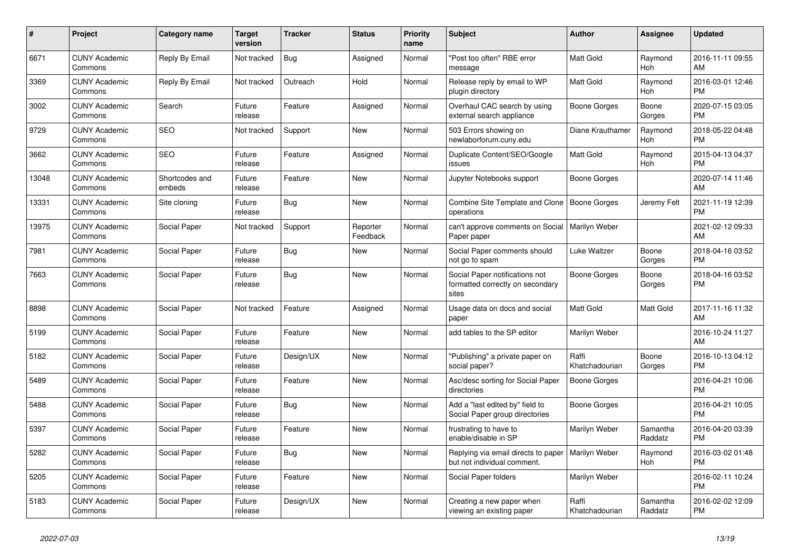| $\pmb{\#}$ | Project                         | <b>Category name</b>     | <b>Target</b><br>version | <b>Tracker</b> | <b>Status</b>        | <b>Priority</b><br>name | <b>Subject</b>                                                              | <b>Author</b>           | Assignee            | <b>Updated</b>                |
|------------|---------------------------------|--------------------------|--------------------------|----------------|----------------------|-------------------------|-----------------------------------------------------------------------------|-------------------------|---------------------|-------------------------------|
| 6671       | <b>CUNY Academic</b><br>Commons | Reply By Email           | Not tracked              | Bug            | Assigned             | Normal                  | "Post too often" RBE error<br>message                                       | <b>Matt Gold</b>        | Raymond<br>Hoh      | 2016-11-11 09:55<br>AM        |
| 3369       | <b>CUNY Academic</b><br>Commons | Reply By Email           | Not tracked              | Outreach       | Hold                 | Normal                  | Release reply by email to WP<br>plugin directory                            | <b>Matt Gold</b>        | Raymond<br>Hoh      | 2016-03-01 12:46<br><b>PM</b> |
| 3002       | <b>CUNY Academic</b><br>Commons | Search                   | Future<br>release        | Feature        | Assigned             | Normal                  | Overhaul CAC search by using<br>external search appliance                   | Boone Gorges            | Boone<br>Gorges     | 2020-07-15 03:05<br><b>PM</b> |
| 9729       | <b>CUNY Academic</b><br>Commons | <b>SEO</b>               | Not tracked              | Support        | New                  | Normal                  | 503 Errors showing on<br>newlaborforum.cuny.edu                             | Diane Krauthamer        | Raymond<br>Hoh      | 2018-05-22 04:48<br><b>PM</b> |
| 3662       | <b>CUNY Academic</b><br>Commons | <b>SEO</b>               | Future<br>release        | Feature        | Assigned             | Normal                  | Duplicate Content/SEO/Google<br>issues                                      | Matt Gold               | Raymond<br>Hoh      | 2015-04-13 04:37<br><b>PM</b> |
| 13048      | <b>CUNY Academic</b><br>Commons | Shortcodes and<br>embeds | Future<br>release        | Feature        | New                  | Normal                  | Jupyter Notebooks support                                                   | Boone Gorges            |                     | 2020-07-14 11:46<br>AM        |
| 13331      | <b>CUNY Academic</b><br>Commons | Site cloning             | Future<br>release        | Bug            | <b>New</b>           | Normal                  | Combine Site Template and Clone<br>operations                               | Boone Gorges            | Jeremy Felt         | 2021-11-19 12:39<br><b>PM</b> |
| 13975      | <b>CUNY Academic</b><br>Commons | Social Paper             | Not tracked              | Support        | Reporter<br>Feedback | Normal                  | can't approve comments on Social<br>Paper paper                             | Marilyn Weber           |                     | 2021-02-12 09:33<br>AM        |
| 7981       | <b>CUNY Academic</b><br>Commons | Social Paper             | Future<br>release        | Bug            | New                  | Normal                  | Social Paper comments should<br>not go to spam                              | Luke Waltzer            | Boone<br>Gorges     | 2018-04-16 03:52<br><b>PM</b> |
| 7663       | <b>CUNY Academic</b><br>Commons | Social Paper             | Future<br>release        | Bug            | New                  | Normal                  | Social Paper notifications not<br>formatted correctly on secondary<br>sites | Boone Gorges            | Boone<br>Gorges     | 2018-04-16 03:52<br><b>PM</b> |
| 8898       | <b>CUNY Academic</b><br>Commons | Social Paper             | Not tracked              | Feature        | Assigned             | Normal                  | Usage data on docs and social<br>paper                                      | Matt Gold               | Matt Gold           | 2017-11-16 11:32<br>AM        |
| 5199       | <b>CUNY Academic</b><br>Commons | Social Paper             | Future<br>release        | Feature        | New                  | Normal                  | add tables to the SP editor                                                 | Marilyn Weber           |                     | 2016-10-24 11:27<br>AM        |
| 5182       | <b>CUNY Academic</b><br>Commons | Social Paper             | Future<br>release        | Design/UX      | <b>New</b>           | Normal                  | "Publishing" a private paper on<br>social paper?                            | Raffi<br>Khatchadourian | Boone<br>Gorges     | 2016-10-13 04:12<br><b>PM</b> |
| 5489       | <b>CUNY Academic</b><br>Commons | Social Paper             | Future<br>release        | Feature        | <b>New</b>           | Normal                  | Asc/desc sorting for Social Paper<br>directories                            | <b>Boone Gorges</b>     |                     | 2016-04-21 10:06<br><b>PM</b> |
| 5488       | <b>CUNY Academic</b><br>Commons | Social Paper             | Future<br>release        | Bug            | New                  | Normal                  | Add a "last edited by" field to<br>Social Paper group directories           | Boone Gorges            |                     | 2016-04-21 10:05<br><b>PM</b> |
| 5397       | <b>CUNY Academic</b><br>Commons | Social Paper             | Future<br>release        | Feature        | New                  | Normal                  | frustrating to have to<br>enable/disable in SP                              | Marilyn Weber           | Samantha<br>Raddatz | 2016-04-20 03:39<br><b>PM</b> |
| 5282       | <b>CUNY Academic</b><br>Commons | Social Paper             | Future<br>release        | Bug            | <b>New</b>           | Normal                  | Replying via email directs to paper<br>but not individual comment.          | Marilyn Weber           | Raymond<br>Hoh      | 2016-03-02 01:48<br><b>PM</b> |
| 5205       | <b>CUNY Academic</b><br>Commons | Social Paper             | Future<br>release        | Feature        | New                  | Normal                  | Social Paper folders                                                        | Marilyn Weber           |                     | 2016-02-11 10:24<br><b>PM</b> |
| 5183       | <b>CUNY Academic</b><br>Commons | Social Paper             | Future<br>release        | Design/UX      | <b>New</b>           | Normal                  | Creating a new paper when<br>viewing an existing paper                      | Raffi<br>Khatchadourian | Samantha<br>Raddatz | 2016-02-02 12:09<br><b>PM</b> |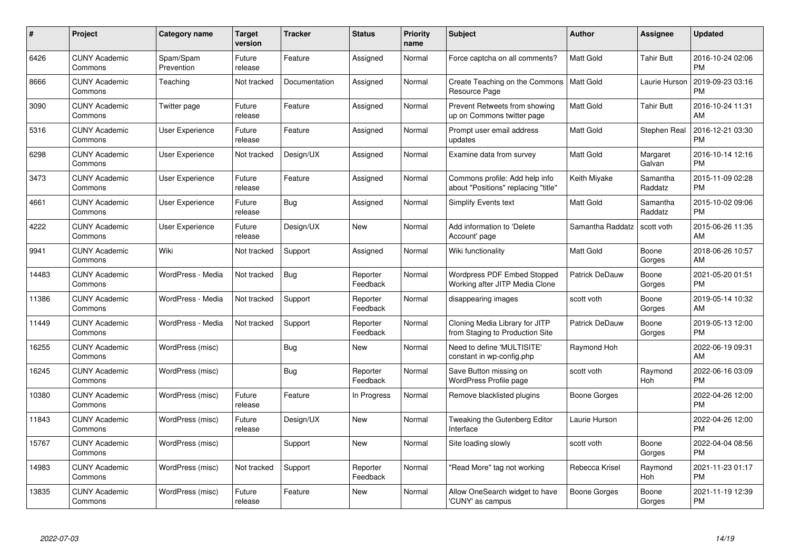| $\#$  | Project                         | <b>Category name</b>    | <b>Target</b><br>version | <b>Tracker</b> | <b>Status</b>        | Priority<br>name | <b>Subject</b>                                                        | <b>Author</b>    | <b>Assignee</b>     | <b>Updated</b>                |
|-------|---------------------------------|-------------------------|--------------------------|----------------|----------------------|------------------|-----------------------------------------------------------------------|------------------|---------------------|-------------------------------|
| 6426  | <b>CUNY Academic</b><br>Commons | Spam/Spam<br>Prevention | Future<br>release        | Feature        | Assigned             | Normal           | Force captcha on all comments?                                        | <b>Matt Gold</b> | <b>Tahir Butt</b>   | 2016-10-24 02:06<br><b>PM</b> |
| 8666  | <b>CUNY Academic</b><br>Commons | Teaching                | Not tracked              | Documentation  | Assigned             | Normal           | Create Teaching on the Commons<br>Resource Page                       | <b>Matt Gold</b> | Laurie Hurson       | 2019-09-23 03:16<br><b>PM</b> |
| 3090  | <b>CUNY Academic</b><br>Commons | Twitter page            | Future<br>release        | Feature        | Assigned             | Normal           | Prevent Retweets from showing<br>up on Commons twitter page           | <b>Matt Gold</b> | <b>Tahir Butt</b>   | 2016-10-24 11:31<br>AM        |
| 5316  | <b>CUNY Academic</b><br>Commons | User Experience         | Future<br>release        | Feature        | Assigned             | Normal           | Prompt user email address<br>updates                                  | <b>Matt Gold</b> | Stephen Real        | 2016-12-21 03:30<br><b>PM</b> |
| 6298  | <b>CUNY Academic</b><br>Commons | <b>User Experience</b>  | Not tracked              | Design/UX      | Assigned             | Normal           | Examine data from survey                                              | <b>Matt Gold</b> | Margaret<br>Galvan  | 2016-10-14 12:16<br><b>PM</b> |
| 3473  | <b>CUNY Academic</b><br>Commons | <b>User Experience</b>  | Future<br>release        | Feature        | Assigned             | Normal           | Commons profile: Add help info<br>about "Positions" replacing "title" | Keith Miyake     | Samantha<br>Raddatz | 2015-11-09 02:28<br><b>PM</b> |
| 4661  | <b>CUNY Academic</b><br>Commons | <b>User Experience</b>  | Future<br>release        | Bug            | Assigned             | Normal           | Simplify Events text                                                  | Matt Gold        | Samantha<br>Raddatz | 2015-10-02 09:06<br><b>PM</b> |
| 4222  | <b>CUNY Academic</b><br>Commons | <b>User Experience</b>  | Future<br>release        | Design/UX      | <b>New</b>           | Normal           | Add information to 'Delete<br>Account' page                           | Samantha Raddatz | scott voth          | 2015-06-26 11:35<br>AM        |
| 9941  | <b>CUNY Academic</b><br>Commons | Wiki                    | Not tracked              | Support        | Assigned             | Normal           | Wiki functionality                                                    | Matt Gold        | Boone<br>Gorges     | 2018-06-26 10:57<br>AM        |
| 14483 | <b>CUNY Academic</b><br>Commons | WordPress - Media       | Not tracked              | Bug            | Reporter<br>Feedback | Normal           | Wordpress PDF Embed Stopped<br>Working after JITP Media Clone         | Patrick DeDauw   | Boone<br>Gorges     | 2021-05-20 01:51<br><b>PM</b> |
| 11386 | <b>CUNY Academic</b><br>Commons | WordPress - Media       | Not tracked              | Support        | Reporter<br>Feedback | Normal           | disappearing images                                                   | scott voth       | Boone<br>Gorges     | 2019-05-14 10:32<br>AM        |
| 11449 | <b>CUNY Academic</b><br>Commons | WordPress - Media       | Not tracked              | Support        | Reporter<br>Feedback | Normal           | Cloning Media Library for JITP<br>from Staging to Production Site     | Patrick DeDauw   | Boone<br>Gorges     | 2019-05-13 12:00<br><b>PM</b> |
| 16255 | <b>CUNY Academic</b><br>Commons | WordPress (misc)        |                          | Bug            | New                  | Normal           | Need to define 'MULTISITE'<br>constant in wp-config.php               | Raymond Hoh      |                     | 2022-06-19 09:31<br>AM        |
| 16245 | <b>CUNY Academic</b><br>Commons | WordPress (misc)        |                          | Bug            | Reporter<br>Feedback | Normal           | Save Button missing on<br><b>WordPress Profile page</b>               | scott voth       | Raymond<br>Hoh      | 2022-06-16 03:09<br><b>PM</b> |
| 10380 | <b>CUNY Academic</b><br>Commons | WordPress (misc)        | Future<br>release        | Feature        | In Progress          | Normal           | Remove blacklisted plugins                                            | Boone Gorges     |                     | 2022-04-26 12:00<br><b>PM</b> |
| 11843 | <b>CUNY Academic</b><br>Commons | WordPress (misc)        | Future<br>release        | Design/UX      | New                  | Normal           | Tweaking the Gutenberg Editor<br>Interface                            | Laurie Hurson    |                     | 2022-04-26 12:00<br><b>PM</b> |
| 15767 | <b>CUNY Academic</b><br>Commons | WordPress (misc)        |                          | Support        | New                  | Normal           | Site loading slowly                                                   | scott voth       | Boone<br>Gorges     | 2022-04-04 08:56<br><b>PM</b> |
| 14983 | <b>CUNY Academic</b><br>Commons | WordPress (misc)        | Not tracked              | Support        | Reporter<br>Feedback | Normal           | "Read More" tag not working                                           | Rebecca Krisel   | Raymond<br>Hoh      | 2021-11-23 01:17<br><b>PM</b> |
| 13835 | CUNY Academic<br>Commons        | WordPress (misc)        | Future<br>release        | Feature        | <b>New</b>           | Normal           | Allow OneSearch widget to have<br>'CUNY' as campus                    | Boone Gorges     | Boone<br>Gorges     | 2021-11-19 12:39<br><b>PM</b> |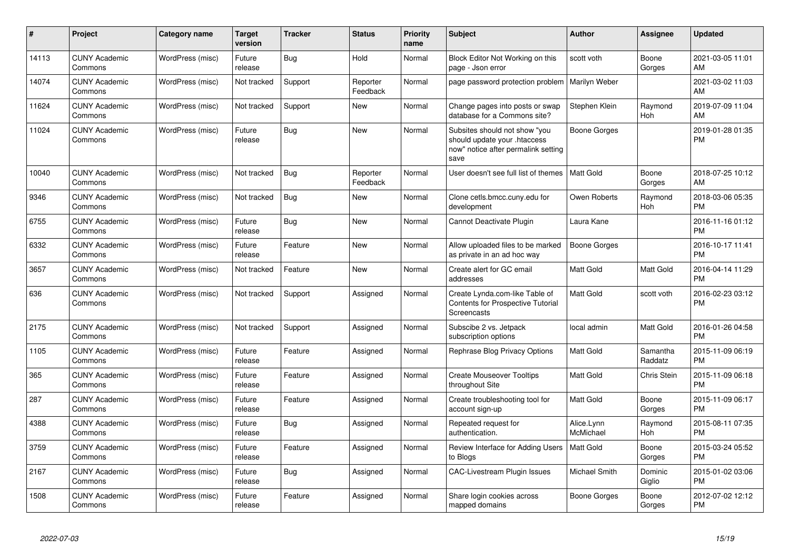| $\#$  | Project                         | <b>Category name</b> | <b>Target</b><br>version | <b>Tracker</b> | <b>Status</b>        | <b>Priority</b><br>name | <b>Subject</b>                                                                                               | Author                  | <b>Assignee</b>       | <b>Updated</b>                |
|-------|---------------------------------|----------------------|--------------------------|----------------|----------------------|-------------------------|--------------------------------------------------------------------------------------------------------------|-------------------------|-----------------------|-------------------------------|
| 14113 | <b>CUNY Academic</b><br>Commons | WordPress (misc)     | Future<br>release        | Bug            | Hold                 | Normal                  | Block Editor Not Working on this<br>page - Json error                                                        | scott voth              | Boone<br>Gorges       | 2021-03-05 11:01<br>AM        |
| 14074 | <b>CUNY Academic</b><br>Commons | WordPress (misc)     | Not tracked              | Support        | Reporter<br>Feedback | Normal                  | page password protection problem                                                                             | <b>Marilyn Weber</b>    |                       | 2021-03-02 11:03<br>AM        |
| 11624 | <b>CUNY Academic</b><br>Commons | WordPress (misc)     | Not tracked              | Support        | <b>New</b>           | Normal                  | Change pages into posts or swap<br>database for a Commons site?                                              | Stephen Klein           | Raymond<br>Hoh        | 2019-07-09 11:04<br>AM        |
| 11024 | <b>CUNY Academic</b><br>Commons | WordPress (misc)     | Future<br>release        | Bug            | <b>New</b>           | Normal                  | Subsites should not show "you<br>should update your .htaccess<br>now" notice after permalink setting<br>save | <b>Boone Gorges</b>     |                       | 2019-01-28 01:35<br><b>PM</b> |
| 10040 | <b>CUNY Academic</b><br>Commons | WordPress (misc)     | Not tracked              | Bug            | Reporter<br>Feedback | Normal                  | User doesn't see full list of themes                                                                         | Matt Gold               | Boone<br>Gorges       | 2018-07-25 10:12<br>AM        |
| 9346  | <b>CUNY Academic</b><br>Commons | WordPress (misc)     | Not tracked              | <b>Bug</b>     | <b>New</b>           | Normal                  | Clone cetls.bmcc.cuny.edu for<br>development                                                                 | Owen Roberts            | Raymond<br>Hoh        | 2018-03-06 05:35<br><b>PM</b> |
| 6755  | <b>CUNY Academic</b><br>Commons | WordPress (misc)     | Future<br>release        | Bug            | New                  | Normal                  | Cannot Deactivate Plugin                                                                                     | Laura Kane              |                       | 2016-11-16 01:12<br><b>PM</b> |
| 6332  | <b>CUNY Academic</b><br>Commons | WordPress (misc)     | Future<br>release        | Feature        | New                  | Normal                  | Allow uploaded files to be marked<br>as private in an ad hoc way                                             | <b>Boone Gorges</b>     |                       | 2016-10-17 11:41<br><b>PM</b> |
| 3657  | <b>CUNY Academic</b><br>Commons | WordPress (misc)     | Not tracked              | Feature        | <b>New</b>           | Normal                  | Create alert for GC email<br>addresses                                                                       | Matt Gold               | Matt Gold             | 2016-04-14 11:29<br><b>PM</b> |
| 636   | <b>CUNY Academic</b><br>Commons | WordPress (misc)     | Not tracked              | Support        | Assigned             | Normal                  | Create Lynda.com-like Table of<br><b>Contents for Prospective Tutorial</b><br>Screencasts                    | <b>Matt Gold</b>        | scott voth            | 2016-02-23 03:12<br><b>PM</b> |
| 2175  | <b>CUNY Academic</b><br>Commons | WordPress (misc)     | Not tracked              | Support        | Assigned             | Normal                  | Subscibe 2 vs. Jetpack<br>subscription options                                                               | local admin             | Matt Gold             | 2016-01-26 04:58<br><b>PM</b> |
| 1105  | <b>CUNY Academic</b><br>Commons | WordPress (misc)     | Future<br>release        | Feature        | Assigned             | Normal                  | Rephrase Blog Privacy Options                                                                                | Matt Gold               | Samantha<br>Raddatz   | 2015-11-09 06:19<br>PM        |
| 365   | <b>CUNY Academic</b><br>Commons | WordPress (misc)     | Future<br>release        | Feature        | Assigned             | Normal                  | <b>Create Mouseover Tooltips</b><br>throughout Site                                                          | Matt Gold               | Chris Stein           | 2015-11-09 06:18<br>PM        |
| 287   | <b>CUNY Academic</b><br>Commons | WordPress (misc)     | Future<br>release        | Feature        | Assigned             | Normal                  | Create troubleshooting tool for<br>account sign-up                                                           | Matt Gold               | Boone<br>Gorges       | 2015-11-09 06:17<br><b>PM</b> |
| 4388  | <b>CUNY Academic</b><br>Commons | WordPress (misc)     | Future<br>release        | Bug            | Assigned             | Normal                  | Repeated request for<br>authentication.                                                                      | Alice.Lynn<br>McMichael | Raymond<br><b>Hoh</b> | 2015-08-11 07:35<br><b>PM</b> |
| 3759  | <b>CUNY Academic</b><br>Commons | WordPress (misc)     | Future<br>release        | Feature        | Assigned             | Normal                  | Review Interface for Adding Users<br>to Blogs                                                                | <b>Matt Gold</b>        | Boone<br>Gorges       | 2015-03-24 05:52<br><b>PM</b> |
| 2167  | <b>CUNY Academic</b><br>Commons | WordPress (misc)     | Future<br>release        | Bug            | Assigned             | Normal                  | <b>CAC-Livestream Plugin Issues</b>                                                                          | Michael Smith           | Dominic<br>Giglio     | 2015-01-02 03:06<br><b>PM</b> |
| 1508  | <b>CUNY Academic</b><br>Commons | WordPress (misc)     | Future<br>release        | Feature        | Assigned             | Normal                  | Share login cookies across<br>mapped domains                                                                 | Boone Gorges            | Boone<br>Gorges       | 2012-07-02 12:12<br><b>PM</b> |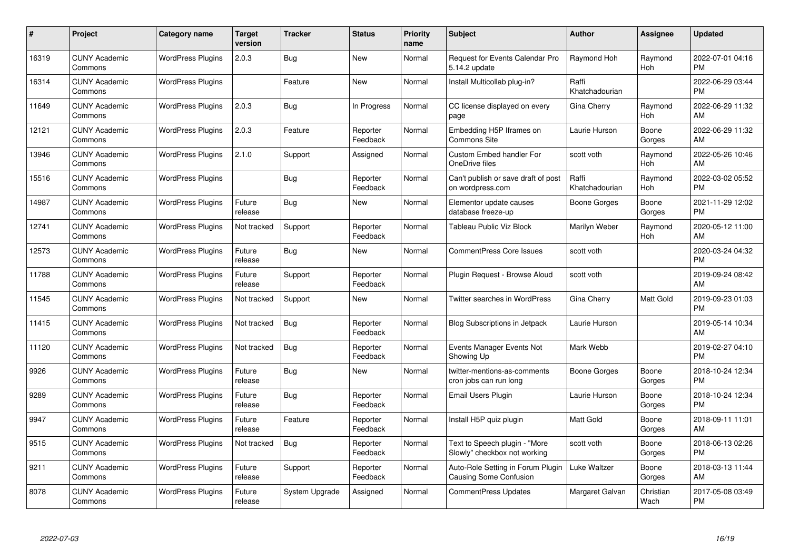| #     | Project                         | <b>Category name</b>     | <b>Target</b><br>version | <b>Tracker</b> | <b>Status</b>        | Priority<br>name | <b>Subject</b>                                                     | <b>Author</b>           | <b>Assignee</b>   | <b>Updated</b>                |
|-------|---------------------------------|--------------------------|--------------------------|----------------|----------------------|------------------|--------------------------------------------------------------------|-------------------------|-------------------|-------------------------------|
| 16319 | <b>CUNY Academic</b><br>Commons | <b>WordPress Plugins</b> | 2.0.3                    | Bug            | <b>New</b>           | Normal           | Request for Events Calendar Pro<br>5.14.2 update                   | Raymond Hoh             | Raymond<br>Hoh    | 2022-07-01 04:16<br><b>PM</b> |
| 16314 | <b>CUNY Academic</b><br>Commons | <b>WordPress Plugins</b> |                          | Feature        | <b>New</b>           | Normal           | Install Multicollab plug-in?                                       | Raffi<br>Khatchadourian |                   | 2022-06-29 03:44<br><b>PM</b> |
| 11649 | <b>CUNY Academic</b><br>Commons | <b>WordPress Plugins</b> | 2.0.3                    | <b>Bug</b>     | In Progress          | Normal           | CC license displayed on every<br>page                              | Gina Cherry             | Raymond<br>Hoh    | 2022-06-29 11:32<br>AM        |
| 12121 | <b>CUNY Academic</b><br>Commons | <b>WordPress Plugins</b> | 2.0.3                    | Feature        | Reporter<br>Feedback | Normal           | Embedding H5P Iframes on<br><b>Commons Site</b>                    | Laurie Hurson           | Boone<br>Gorges   | 2022-06-29 11:32<br>AM        |
| 13946 | <b>CUNY Academic</b><br>Commons | <b>WordPress Plugins</b> | 2.1.0                    | Support        | Assigned             | Normal           | <b>Custom Embed handler For</b><br>OneDrive files                  | scott voth              | Raymond<br>Hoh    | 2022-05-26 10:46<br>AM        |
| 15516 | <b>CUNY Academic</b><br>Commons | <b>WordPress Plugins</b> |                          | <b>Bug</b>     | Reporter<br>Feedback | Normal           | Can't publish or save draft of post<br>on wordpress.com            | Raffi<br>Khatchadourian | Raymond<br>Hoh    | 2022-03-02 05:52<br><b>PM</b> |
| 14987 | <b>CUNY Academic</b><br>Commons | <b>WordPress Plugins</b> | Future<br>release        | Bug            | New                  | Normal           | Elementor update causes<br>database freeze-up                      | Boone Gorges            | Boone<br>Gorges   | 2021-11-29 12:02<br><b>PM</b> |
| 12741 | <b>CUNY Academic</b><br>Commons | <b>WordPress Plugins</b> | Not tracked              | Support        | Reporter<br>Feedback | Normal           | Tableau Public Viz Block                                           | Marilyn Weber           | Raymond<br>Hoh    | 2020-05-12 11:00<br><b>AM</b> |
| 12573 | <b>CUNY Academic</b><br>Commons | <b>WordPress Plugins</b> | Future<br>release        | Bug            | New                  | Normal           | CommentPress Core Issues                                           | scott voth              |                   | 2020-03-24 04:32<br><b>PM</b> |
| 11788 | <b>CUNY Academic</b><br>Commons | <b>WordPress Plugins</b> | Future<br>release        | Support        | Reporter<br>Feedback | Normal           | Plugin Request - Browse Aloud                                      | scott voth              |                   | 2019-09-24 08:42<br>AM        |
| 11545 | <b>CUNY Academic</b><br>Commons | <b>WordPress Plugins</b> | Not tracked              | Support        | New                  | Normal           | Twitter searches in WordPress                                      | Gina Cherry             | Matt Gold         | 2019-09-23 01:03<br><b>PM</b> |
| 11415 | <b>CUNY Academic</b><br>Commons | <b>WordPress Plugins</b> | Not tracked              | Bug            | Reporter<br>Feedback | Normal           | Blog Subscriptions in Jetpack                                      | Laurie Hurson           |                   | 2019-05-14 10:34<br><b>AM</b> |
| 11120 | <b>CUNY Academic</b><br>Commons | <b>WordPress Plugins</b> | Not tracked              | Bug            | Reporter<br>Feedback | Normal           | Events Manager Events Not<br>Showing Up                            | Mark Webb               |                   | 2019-02-27 04:10<br><b>PM</b> |
| 9926  | <b>CUNY Academic</b><br>Commons | <b>WordPress Plugins</b> | Future<br>release        | Bug            | New                  | Normal           | twitter-mentions-as-comments<br>cron jobs can run long             | Boone Gorges            | Boone<br>Gorges   | 2018-10-24 12:34<br><b>PM</b> |
| 9289  | <b>CUNY Academic</b><br>Commons | <b>WordPress Plugins</b> | Future<br>release        | Bug            | Reporter<br>Feedback | Normal           | Email Users Plugin                                                 | Laurie Hurson           | Boone<br>Gorges   | 2018-10-24 12:34<br><b>PM</b> |
| 9947  | <b>CUNY Academic</b><br>Commons | <b>WordPress Plugins</b> | Future<br>release        | Feature        | Reporter<br>Feedback | Normal           | Install H5P quiz plugin                                            | <b>Matt Gold</b>        | Boone<br>Gorges   | 2018-09-11 11:01<br><b>AM</b> |
| 9515  | <b>CUNY Academic</b><br>Commons | <b>WordPress Plugins</b> | Not tracked              | <b>Bug</b>     | Reporter<br>Feedback | Normal           | Text to Speech plugin - "More<br>Slowly" checkbox not working      | scott voth              | Boone<br>Gorges   | 2018-06-13 02:26<br><b>PM</b> |
| 9211  | <b>CUNY Academic</b><br>Commons | <b>WordPress Plugins</b> | Future<br>release        | Support        | Reporter<br>Feedback | Normal           | Auto-Role Setting in Forum Plugin<br><b>Causing Some Confusion</b> | Luke Waltzer            | Boone<br>Gorges   | 2018-03-13 11:44<br>AM.       |
| 8078  | <b>CUNY Academic</b><br>Commons | <b>WordPress Plugins</b> | Future<br>release        | System Upgrade | Assigned             | Normal           | <b>CommentPress Updates</b>                                        | Margaret Galvan         | Christian<br>Wach | 2017-05-08 03:49<br><b>PM</b> |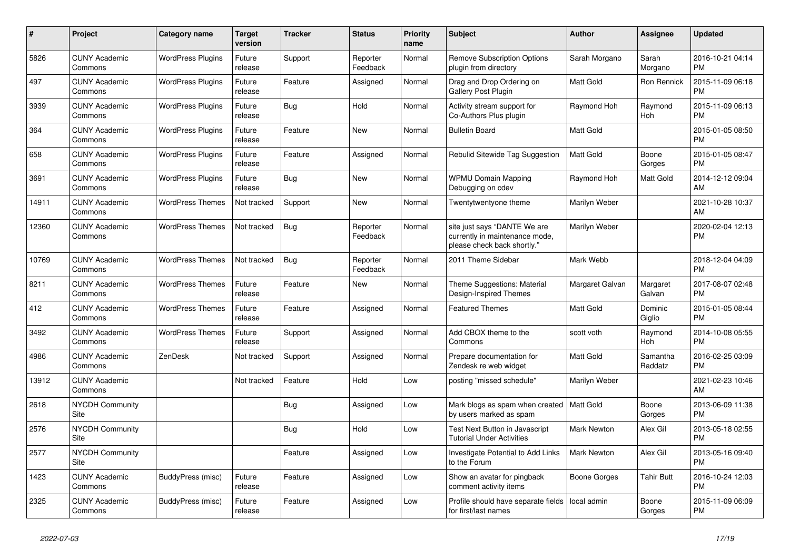| #     | <b>Project</b>                  | Category name            | Target<br>version | <b>Tracker</b> | <b>Status</b>        | <b>Priority</b><br>name | <b>Subject</b>                                                                                | <b>Author</b>      | Assignee            | <b>Updated</b>                |
|-------|---------------------------------|--------------------------|-------------------|----------------|----------------------|-------------------------|-----------------------------------------------------------------------------------------------|--------------------|---------------------|-------------------------------|
| 5826  | <b>CUNY Academic</b><br>Commons | <b>WordPress Plugins</b> | Future<br>release | Support        | Reporter<br>Feedback | Normal                  | <b>Remove Subscription Options</b><br>plugin from directory                                   | Sarah Morgano      | Sarah<br>Morgano    | 2016-10-21 04:14<br><b>PM</b> |
| 497   | <b>CUNY Academic</b><br>Commons | <b>WordPress Plugins</b> | Future<br>release | Feature        | Assigned             | Normal                  | Drag and Drop Ordering on<br>Gallery Post Plugin                                              | Matt Gold          | Ron Rennick         | 2015-11-09 06:18<br><b>PM</b> |
| 3939  | <b>CUNY Academic</b><br>Commons | <b>WordPress Plugins</b> | Future<br>release | <b>Bug</b>     | Hold                 | Normal                  | Activity stream support for<br>Co-Authors Plus plugin                                         | Raymond Hoh        | Raymond<br>Hoh      | 2015-11-09 06:13<br><b>PM</b> |
| 364   | <b>CUNY Academic</b><br>Commons | <b>WordPress Plugins</b> | Future<br>release | Feature        | <b>New</b>           | Normal                  | <b>Bulletin Board</b>                                                                         | Matt Gold          |                     | 2015-01-05 08:50<br><b>PM</b> |
| 658   | <b>CUNY Academic</b><br>Commons | <b>WordPress Plugins</b> | Future<br>release | Feature        | Assigned             | Normal                  | Rebulid Sitewide Tag Suggestion                                                               | Matt Gold          | Boone<br>Gorges     | 2015-01-05 08:47<br><b>PM</b> |
| 3691  | <b>CUNY Academic</b><br>Commons | <b>WordPress Plugins</b> | Future<br>release | Bug            | New                  | Normal                  | <b>WPMU Domain Mapping</b><br>Debugging on cdev                                               | Raymond Hoh        | Matt Gold           | 2014-12-12 09:04<br><b>AM</b> |
| 14911 | <b>CUNY Academic</b><br>Commons | <b>WordPress Themes</b>  | Not tracked       | Support        | <b>New</b>           | Normal                  | Twentytwentyone theme                                                                         | Marilyn Weber      |                     | 2021-10-28 10:37<br>AM        |
| 12360 | <b>CUNY Academic</b><br>Commons | <b>WordPress Themes</b>  | Not tracked       | Bug            | Reporter<br>Feedback | Normal                  | site just says "DANTE We are<br>currently in maintenance mode,<br>please check back shortly." | Marilyn Weber      |                     | 2020-02-04 12:13<br>PM        |
| 10769 | <b>CUNY Academic</b><br>Commons | <b>WordPress Themes</b>  | Not tracked       | <b>Bug</b>     | Reporter<br>Feedback | Normal                  | 2011 Theme Sidebar                                                                            | Mark Webb          |                     | 2018-12-04 04:09<br><b>PM</b> |
| 8211  | <b>CUNY Academic</b><br>Commons | <b>WordPress Themes</b>  | Future<br>release | Feature        | <b>New</b>           | Normal                  | Theme Suggestions: Material<br>Design-Inspired Themes                                         | Margaret Galvan    | Margaret<br>Galvan  | 2017-08-07 02:48<br><b>PM</b> |
| 412   | <b>CUNY Academic</b><br>Commons | <b>WordPress Themes</b>  | Future<br>release | Feature        | Assigned             | Normal                  | <b>Featured Themes</b>                                                                        | <b>Matt Gold</b>   | Dominic<br>Giglio   | 2015-01-05 08:44<br><b>PM</b> |
| 3492  | <b>CUNY Academic</b><br>Commons | <b>WordPress Themes</b>  | Future<br>release | Support        | Assigned             | Normal                  | Add CBOX theme to the<br>Commons                                                              | scott voth         | Raymond<br>Hoh      | 2014-10-08 05:55<br><b>PM</b> |
| 4986  | <b>CUNY Academic</b><br>Commons | ZenDesk                  | Not tracked       | Support        | Assigned             | Normal                  | Prepare documentation for<br>Zendesk re web widget                                            | <b>Matt Gold</b>   | Samantha<br>Raddatz | 2016-02-25 03:09<br><b>PM</b> |
| 13912 | <b>CUNY Academic</b><br>Commons |                          | Not tracked       | Feature        | Hold                 | Low                     | posting "missed schedule"                                                                     | Marilyn Weber      |                     | 2021-02-23 10:46<br>AM        |
| 2618  | <b>NYCDH Community</b><br>Site  |                          |                   | Bug            | Assigned             | Low                     | Mark blogs as spam when created<br>by users marked as spam                                    | Matt Gold          | Boone<br>Gorges     | 2013-06-09 11:38<br><b>PM</b> |
| 2576  | <b>NYCDH Community</b><br>Site  |                          |                   | <b>Bug</b>     | Hold                 | Low                     | Test Next Button in Javascript<br><b>Tutorial Under Activities</b>                            | <b>Mark Newton</b> | Alex Gil            | 2013-05-18 02:55<br><b>PM</b> |
| 2577  | <b>NYCDH Community</b><br>Site  |                          |                   | Feature        | Assigned             | Low                     | Investigate Potential to Add Links<br>to the Forum                                            | <b>Mark Newton</b> | Alex Gil            | 2013-05-16 09:40<br><b>PM</b> |
| 1423  | <b>CUNY Academic</b><br>Commons | BuddyPress (misc)        | Future<br>release | Feature        | Assigned             | Low                     | Show an avatar for pingback<br>comment activity items                                         | Boone Gorges       | <b>Tahir Butt</b>   | 2016-10-24 12:03<br><b>PM</b> |
| 2325  | <b>CUNY Academic</b><br>Commons | BuddyPress (misc)        | Future<br>release | Feature        | Assigned             | Low                     | Profile should have separate fields<br>for first/last names                                   | local admin        | Boone<br>Gorges     | 2015-11-09 06:09<br><b>PM</b> |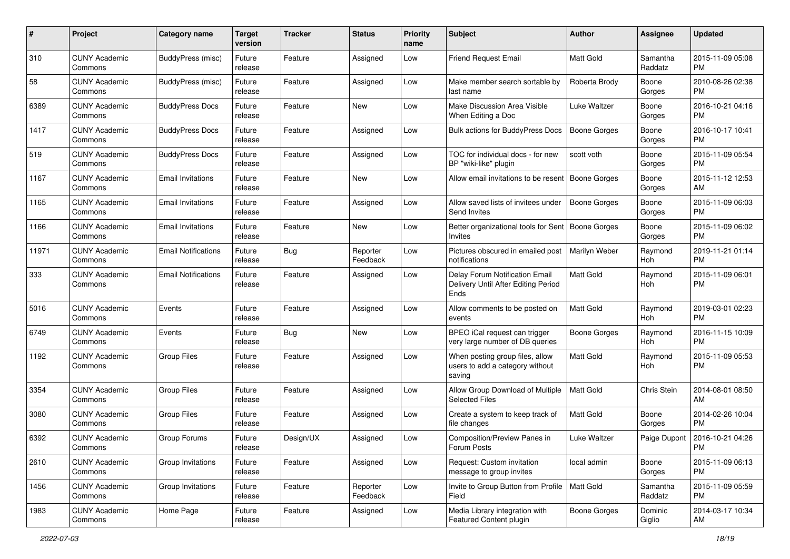| #     | Project                         | <b>Category name</b>       | <b>Target</b><br>version | <b>Tracker</b> | <b>Status</b>        | Priority<br>name | <b>Subject</b>                                                                | Author              | <b>Assignee</b>     | <b>Updated</b>                |
|-------|---------------------------------|----------------------------|--------------------------|----------------|----------------------|------------------|-------------------------------------------------------------------------------|---------------------|---------------------|-------------------------------|
| 310   | <b>CUNY Academic</b><br>Commons | BuddyPress (misc)          | Future<br>release        | Feature        | Assigned             | Low              | <b>Friend Request Email</b>                                                   | <b>Matt Gold</b>    | Samantha<br>Raddatz | 2015-11-09 05:08<br><b>PM</b> |
| 58    | <b>CUNY Academic</b><br>Commons | <b>BuddyPress (misc)</b>   | Future<br>release        | Feature        | Assigned             | Low              | Make member search sortable by<br>last name                                   | Roberta Brody       | Boone<br>Gorges     | 2010-08-26 02:38<br><b>PM</b> |
| 6389  | <b>CUNY Academic</b><br>Commons | <b>BuddyPress Docs</b>     | Future<br>release        | Feature        | New                  | Low              | Make Discussion Area Visible<br>When Editing a Doc                            | Luke Waltzer        | Boone<br>Gorges     | 2016-10-21 04:16<br><b>PM</b> |
| 1417  | <b>CUNY Academic</b><br>Commons | <b>BuddyPress Docs</b>     | Future<br>release        | Feature        | Assigned             | Low              | <b>Bulk actions for BuddyPress Docs</b>                                       | <b>Boone Gorges</b> | Boone<br>Gorges     | 2016-10-17 10:41<br><b>PM</b> |
| 519   | <b>CUNY Academic</b><br>Commons | <b>BuddyPress Docs</b>     | Future<br>release        | Feature        | Assigned             | Low              | TOC for individual docs - for new<br>BP "wiki-like" plugin                    | scott voth          | Boone<br>Gorges     | 2015-11-09 05:54<br><b>PM</b> |
| 1167  | <b>CUNY Academic</b><br>Commons | <b>Email Invitations</b>   | Future<br>release        | Feature        | New                  | Low              | Allow email invitations to be resent                                          | Boone Gorges        | Boone<br>Gorges     | 2015-11-12 12:53<br>AM        |
| 1165  | <b>CUNY Academic</b><br>Commons | <b>Email Invitations</b>   | Future<br>release        | Feature        | Assigned             | Low              | Allow saved lists of invitees under<br>Send Invites                           | <b>Boone Gorges</b> | Boone<br>Gorges     | 2015-11-09 06:03<br><b>PM</b> |
| 1166  | <b>CUNY Academic</b><br>Commons | <b>Email Invitations</b>   | Future<br>release        | Feature        | New                  | Low              | Better organizational tools for Sent<br>Invites                               | Boone Gorges        | Boone<br>Gorges     | 2015-11-09 06:02<br>PM.       |
| 11971 | <b>CUNY Academic</b><br>Commons | <b>Email Notifications</b> | Future<br>release        | Bug            | Reporter<br>Feedback | Low              | Pictures obscured in emailed post<br>notifications                            | Marilyn Weber       | Raymond<br>Hoh      | 2019-11-21 01:14<br><b>PM</b> |
| 333   | <b>CUNY Academic</b><br>Commons | <b>Email Notifications</b> | Future<br>release        | Feature        | Assigned             | Low              | Delay Forum Notification Email<br>Delivery Until After Editing Period<br>Ends | Matt Gold           | Raymond<br>Hoh      | 2015-11-09 06:01<br>PM.       |
| 5016  | <b>CUNY Academic</b><br>Commons | Events                     | Future<br>release        | Feature        | Assigned             | Low              | Allow comments to be posted on<br>events                                      | <b>Matt Gold</b>    | Raymond<br>Hoh      | 2019-03-01 02:23<br><b>PM</b> |
| 6749  | <b>CUNY Academic</b><br>Commons | Events                     | Future<br>release        | Bug            | New                  | Low              | BPEO iCal request can trigger<br>very large number of DB queries              | Boone Gorges        | Raymond<br>Hoh      | 2016-11-15 10:09<br><b>PM</b> |
| 1192  | <b>CUNY Academic</b><br>Commons | <b>Group Files</b>         | Future<br>release        | Feature        | Assigned             | Low              | When posting group files, allow<br>users to add a category without<br>saving  | <b>Matt Gold</b>    | Raymond<br>Hoh      | 2015-11-09 05:53<br><b>PM</b> |
| 3354  | <b>CUNY Academic</b><br>Commons | <b>Group Files</b>         | Future<br>release        | Feature        | Assigned             | Low              | Allow Group Download of Multiple<br><b>Selected Files</b>                     | <b>Matt Gold</b>    | Chris Stein         | 2014-08-01 08:50<br>AM        |
| 3080  | <b>CUNY Academic</b><br>Commons | <b>Group Files</b>         | Future<br>release        | Feature        | Assigned             | Low              | Create a system to keep track of<br>file changes                              | <b>Matt Gold</b>    | Boone<br>Gorges     | 2014-02-26 10:04<br>PM.       |
| 6392  | <b>CUNY Academic</b><br>Commons | Group Forums               | Future<br>release        | Design/UX      | Assigned             | Low              | Composition/Preview Panes in<br>Forum Posts                                   | Luke Waltzer        | Paige Dupont        | 2016-10-21 04:26<br>PM        |
| 2610  | <b>CUNY Academic</b><br>Commons | Group Invitations          | Future<br>release        | Feature        | Assigned             | Low              | Request: Custom invitation<br>message to group invites                        | local admin         | Boone<br>Gorges     | 2015-11-09 06:13<br>PM.       |
| 1456  | <b>CUNY Academic</b><br>Commons | Group Invitations          | Future<br>release        | Feature        | Reporter<br>Feedback | Low              | Invite to Group Button from Profile<br>Field                                  | Matt Gold           | Samantha<br>Raddatz | 2015-11-09 05:59<br><b>PM</b> |
| 1983  | <b>CUNY Academic</b><br>Commons | Home Page                  | Future<br>release        | Feature        | Assigned             | Low              | Media Library integration with<br>Featured Content plugin                     | <b>Boone Gorges</b> | Dominic<br>Giglio   | 2014-03-17 10:34<br>AM        |